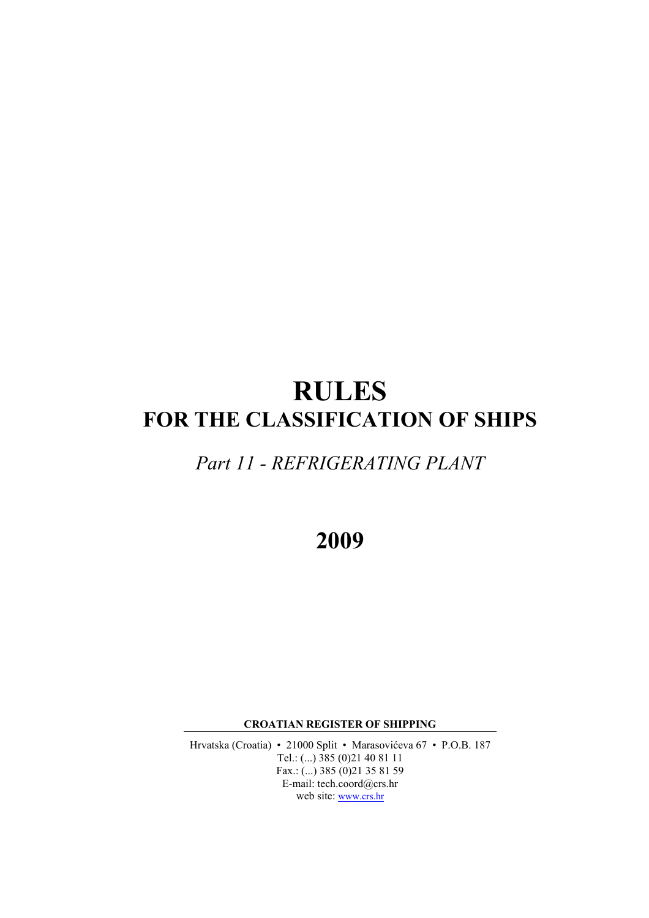# **RULES FOR THE CLASSIFICATION OF SHIPS**

# *Part 11 - REFRIGERATING PLANT*

**2009**

**CROATIAN REGISTER OF SHIPPING**

Hrvatska (Croatia) • 21000 Split • Marasovićeva 67 • P.O.B. 187 Tel.: (...) 385 (0)21 40 81 11 Fax.: (...) 385 (0)21 35 81 59 E-mail: tech.coord@crs.hr web site: www.crs.hr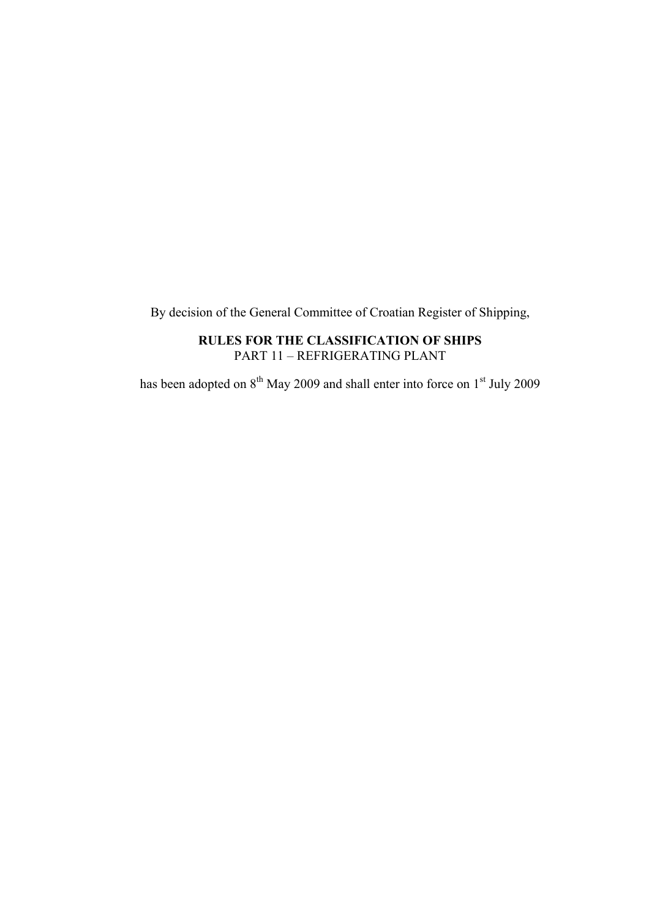By decision of the General Committee of Croatian Register of Shipping,

# **RULES FOR THE CLASSIFICATION OF SHIPS** PART 11 – REFRIGERATING PLANT

has been adopted on  $8^{th}$  May 2009 and shall enter into force on  $1^{st}$  July 2009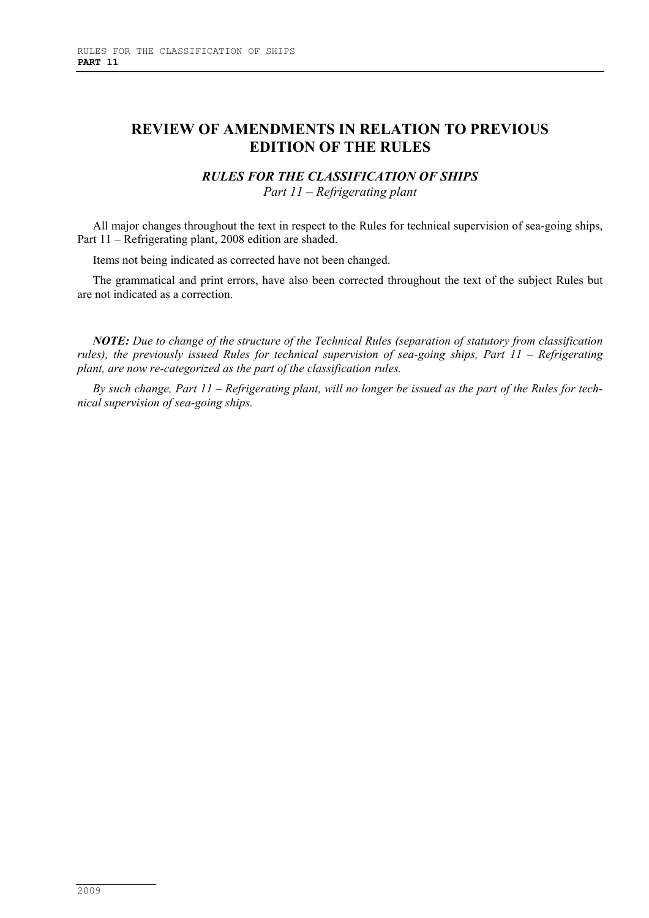# **REVIEW OF AMENDMENTS IN RELATION TO PREVIOUS EDITION OF THE RULES**

# *RULES FOR THE CLASSIFICATION OF SHIPS*

*Part 11 – Refrigerating plant*

All major changes throughout the text in respect to the Rules for technical supervision of sea-going ships, Part 11 – Refrigerating plant, 2008 edition are shaded.

Items not being indicated as corrected have not been changed.

The grammatical and print errors, have also been corrected throughout the text of the subject Rules but are not indicated as a correction.

*NOTE: Due to change of the structure of the Technical Rules (separation of statutory from classification rules), the previously issued Rules for technical supervision of sea-going ships, Part 11 – Refrigerating plant, are now re-categorized as the part of the classification rules.*

*By such change, Part 11 – Refrigerating plant, will no longer be issued as the part of the Rules for technical supervision of sea-going ships.*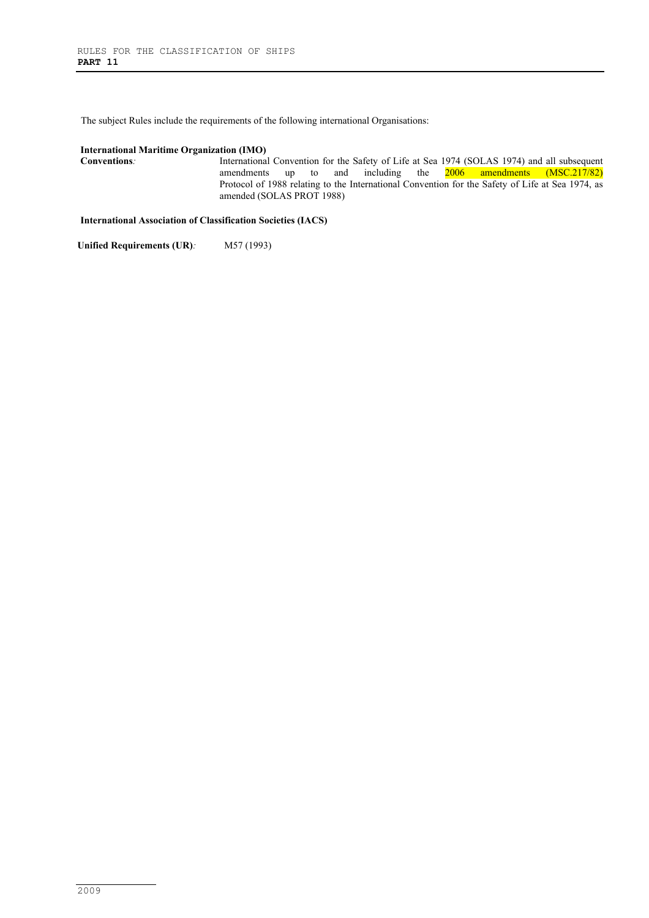The subject Rules include the requirements of the following international Organisations:

#### **International Maritime Organization (IMO)**

**Conventions**: International Convention for the Safety of Life at Sea 1974 (SOLAS 1974) and all subsequent amendments up to and including the  $2006$  amendments (MSC.217/82) Protocol of 1988 relating to the International Convention for the Safety of Life at Sea 1974, as amended (SOLAS PROT 1988)

**International Association of Classification Societies (IACS)**

Unified Requirements (UR)*:* M57 (1993)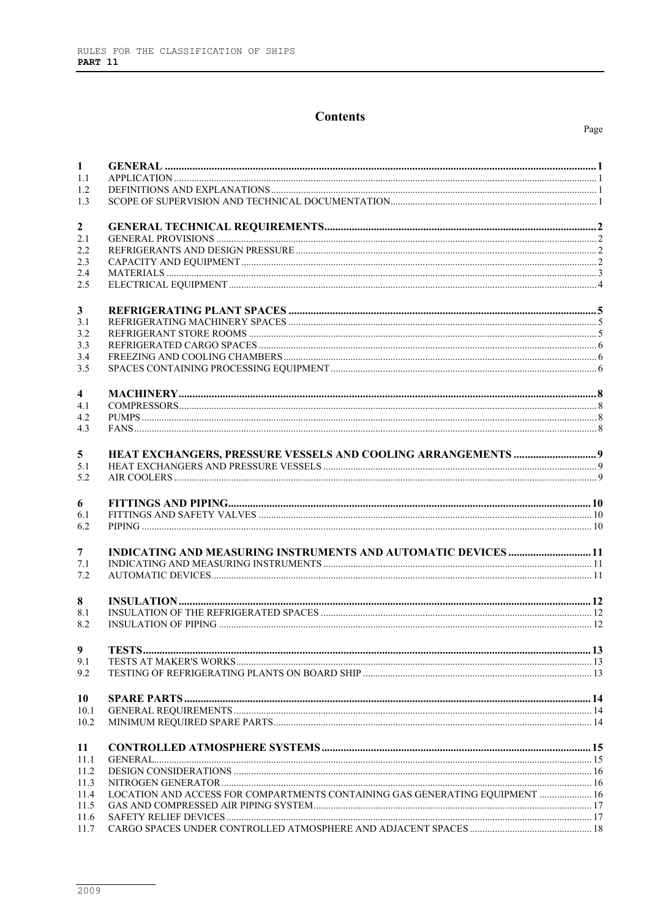# **Contents**

| 1              |                                                                              |  |
|----------------|------------------------------------------------------------------------------|--|
| 1.1            |                                                                              |  |
| 1.2<br>1.3     |                                                                              |  |
|                |                                                                              |  |
| $\overline{2}$ |                                                                              |  |
| 2.1            |                                                                              |  |
| 2.2            |                                                                              |  |
| 2.3            |                                                                              |  |
| 2.4            |                                                                              |  |
| 2.5            |                                                                              |  |
| $\mathbf{3}$   |                                                                              |  |
| 3.1            |                                                                              |  |
| 3.2            |                                                                              |  |
| 3.3            |                                                                              |  |
| 3.4            |                                                                              |  |
| 3.5            |                                                                              |  |
| 4              |                                                                              |  |
| 4.1            |                                                                              |  |
| 4.2            |                                                                              |  |
| 4.3            |                                                                              |  |
| 5              |                                                                              |  |
| 5.1            |                                                                              |  |
| 5.2            |                                                                              |  |
|                |                                                                              |  |
| 6              |                                                                              |  |
| 6.1<br>6.2     |                                                                              |  |
|                |                                                                              |  |
| $\overline{7}$ | <b>INDICATING AND MEASURING INSTRUMENTS AND AUTOMATIC DEVICES  11</b>        |  |
| 7.1            |                                                                              |  |
| 7.2            |                                                                              |  |
|                |                                                                              |  |
| 8<br>8.1       |                                                                              |  |
| 8.2            |                                                                              |  |
|                |                                                                              |  |
| 9              |                                                                              |  |
| 9.1            |                                                                              |  |
| 9.2            |                                                                              |  |
| 10             |                                                                              |  |
| 10.1           |                                                                              |  |
| 10.2           |                                                                              |  |
| 11             |                                                                              |  |
| 11.1           |                                                                              |  |
| 11.2           |                                                                              |  |
| 11.3           |                                                                              |  |
| 11.4           | LOCATION AND ACCESS FOR COMPARTMENTS CONTAINING GAS GENERATING EQUIPMENT  16 |  |
| 11.5           |                                                                              |  |
| 11.6           |                                                                              |  |
| 11.7           |                                                                              |  |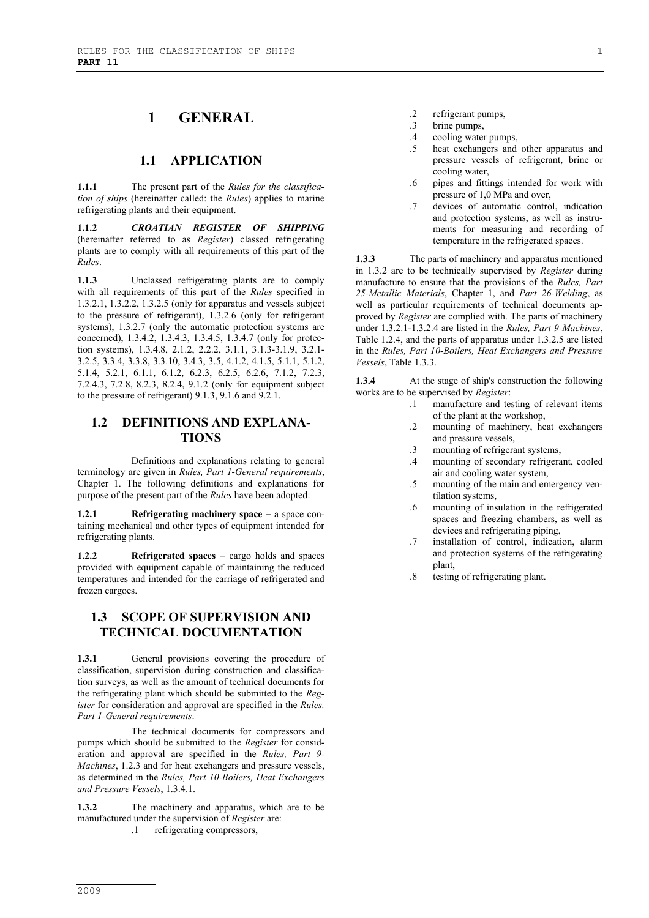# **1 GENERAL**

#### **1.1 APPLICATION**

**1.1.1** The present part of the *Rules for the classification of ships* (hereinafter called: the *Rules*) applies to marine refrigerating plants and their equipment.

**1.1.2** *CROATIAN REGISTER OF SHIPPING* (hereinafter referred to as *Register*) classed refrigerating plants are to comply with all requirements of this part of the *Rules*.

**1.1.3** Unclassed refrigerating plants are to comply with all requirements of this part of the *Rules* specified in 1.3.2.1, 1.3.2.2, 1.3.2.5 (only for apparatus and vessels subject to the pressure of refrigerant), 1.3.2.6 (only for refrigerant systems), 1.3.2.7 (only the automatic protection systems are concerned), 1.3.4.2, 1.3.4.3, 1.3.4.5, 1.3.4.7 (only for protection systems), 1.3.4.8, 2.1.2, 2.2.2, 3.1.1, 3.1.3-3.1.9, 3.2.1- 3.2.5, 3.3.4, 3.3.8, 3.3.10, 3.4.3, 3.5, 4.1.2, 4.1.5, 5.1.1, 5.1.2, 5.1.4, 5.2.1, 6.1.1, 6.1.2, 6.2.3, 6.2.5, 6.2.6, 7.1.2, 7.2.3, 7.2.4.3, 7.2.8, 8.2.3, 8.2.4, 9.1.2 (only for equipment subject to the pressure of refrigerant) 9.1.3, 9.1.6 and 9.2.1.

### **1.2 DEFINITIONS AND EXPLANA-TIONS**

Definitions and explanations relating to general terminology are given in *Rules, Part 1-General requirements*, Chapter 1. The following definitions and explanations for purpose of the present part of the *Rules* have been adopted:

**1.2.1** Refrigerating machinery space − a space containing mechanical and other types of equipment intended for refrigerating plants.

**1.2.2 Refrigerated spaces** − cargo holds and spaces provided with equipment capable of maintaining the reduced temperatures and intended for the carriage of refrigerated and frozen cargoes.

# **1.3 SCOPE OF SUPERVISION AND TECHNICAL DOCUMENTATION**

1.3.1 General provisions covering the procedure of classification, supervision during construction and classification surveys, as well as the amount of technical documents for the refrigerating plant which should be submitted to the *Register* for consideration and approval are specified in the *Rules, Part 1-General requirements*.

The technical documents for compressors and pumps which should be submitted to the *Register* for consideration and approval are specified in the *Rules, Part 9- Machines*, 1.2.3 and for heat exchangers and pressure vessels, as determined in the *Rules, Part 10-Boilers, Heat Exchangers and Pressure Vessels*, 1.3.4.1.

**1.3.2** The machinery and apparatus, which are to be manufactured under the supervision of *Register* are:

.1 refrigerating compressors,

- .2 refrigerant pumps, .3 brine pumps,
- .4 cooling water pumps,
- .5 heat exchangers and other apparatus and pressure vessels of refrigerant, brine or cooling water,
- .6 pipes and fittings intended for work with pressure of 1,0 MPa and over,
- .7 devices of automatic control, indication and protection systems, as well as instruments for measuring and recording of temperature in the refrigerated spaces.

**1.3.3** The parts of machinery and apparatus mentioned in 1.3.2 are to be technically supervised by *Register* during manufacture to ensure that the provisions of the *Rules, Part 25-Metallic Materials*, Chapter 1, and *Part 26-Welding*, as well as particular requirements of technical documents approved by *Register* are complied with. The parts of machinery under 1.3.2.1-1.3.2.4 are listed in the *Rules, Part 9-Machines*, Table 1.2.4, and the parts of apparatus under 1.3.2.5 are listed in the *Rules, Part 10-Boilers, Heat Exchangers and Pressure Vessels*, Table 1.3.3.

**1.3.4** At the stage of ship's construction the following works are to be supervised by *Register*:

- .1 manufacture and testing of relevant items of the plant at the workshop,
- .2 mounting of machinery, heat exchangers and pressure vessels,
- .3 mounting of refrigerant systems,
- .4 mounting of secondary refrigerant, cooled air and cooling water system,
- .5 mounting of the main and emergency ventilation systems,
- .6 mounting of insulation in the refrigerated spaces and freezing chambers, as well as devices and refrigerating piping,
- .7 installation of control, indication, alarm and protection systems of the refrigerating plant,
- .8 testing of refrigerating plant.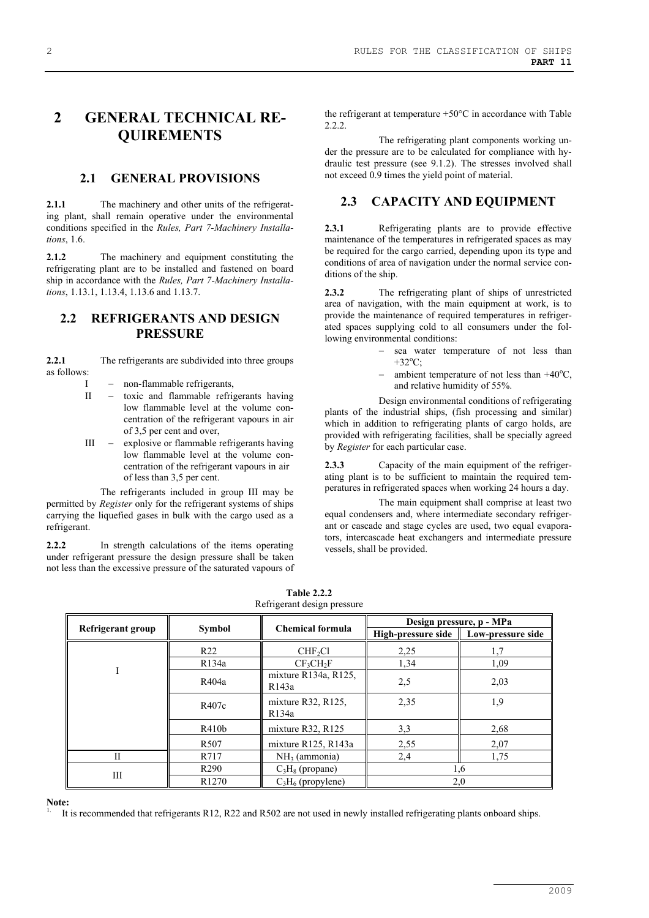# **2 GENERAL TECHNICAL RE-QUIREMENTS**

#### **2.1 GENERAL PROVISIONS**

**2.1.1** The machinery and other units of the refrigerating plant, shall remain operative under the environmental conditions specified in the *Rules, Part 7-Machinery Installations*, 1.6.

**2.1.2** The machinery and equipment constituting the refrigerating plant are to be installed and fastened on board ship in accordance with the *Rules, Part 7-Machinery Installations*, 1.13.1, 1.13.4, 1.13.6 and 1.13.7.

#### **2.2 REFRIGERANTS AND DESIGN PRESSURE**

**2.2.1** The refrigerants are subdivided into three groups as follows:

- I − non-flammable refrigerants,
- II toxic and flammable refrigerants having low flammable level at the volume concentration of the refrigerant vapours in air of 3,5 per cent and over,
- III − explosive or flammable refrigerants having low flammable level at the volume concentration of the refrigerant vapours in air of less than 3,5 per cent.

The refrigerants included in group III may be permitted by *Register* only for the refrigerant systems of ships carrying the liquefied gases in bulk with the cargo used as a refrigerant.

**2.2.2** In strength calculations of the items operating under refrigerant pressure the design pressure shall be taken not less than the excessive pressure of the saturated vapours of the refrigerant at temperature +50°C in accordance with Table 2.2.2.

The refrigerating plant components working under the pressure are to be calculated for compliance with hydraulic test pressure (see 9.1.2). The stresses involved shall not exceed 0.9 times the yield point of material.

#### **2.3 CAPACITY AND EQUIPMENT**

**2.3.1** Refrigerating plants are to provide effective maintenance of the temperatures in refrigerated spaces as may be required for the cargo carried, depending upon its type and conditions of area of navigation under the normal service conditions of the ship.

**2.3.2** The refrigerating plant of ships of unrestricted area of navigation, with the main equipment at work, is to provide the maintenance of required temperatures in refrigerated spaces supplying cold to all consumers under the following environmental conditions:

- sea water temperature of not less than  $+32^{\circ}$ C;
- − ambient temperature of not less than +40<sup>o</sup>C, and relative humidity of 55%.

Design environmental conditions of refrigerating plants of the industrial ships, (fish processing and similar) which in addition to refrigerating plants of cargo holds, are provided with refrigerating facilities, shall be specially agreed by *Register* for each particular case.

**2.3.3** Capacity of the main equipment of the refrigerating plant is to be sufficient to maintain the required temperatures in refrigerated spaces when working 24 hours a day.

The main equipment shall comprise at least two equal condensers and, where intermediate secondary refrigerant or cascade and stage cycles are used, two equal evaporators, intercascade heat exchangers and intermediate pressure vessels, shall be provided.

|                   | <b>Symbol</b>     | <b>Chemical formula</b>                    | Design pressure, p - MPa |                   |
|-------------------|-------------------|--------------------------------------------|--------------------------|-------------------|
| Refrigerant group |                   |                                            | High-pressure side       | Low-pressure side |
|                   | R <sub>22</sub>   | CHF <sub>2</sub> Cl                        | 2,25                     | 1,7               |
|                   | R134a             | CF <sub>3</sub> CH <sub>2</sub> F          | 1,34                     | 1,09              |
|                   | R404a             | mixture R134a, R125,<br>R <sub>143</sub> a | 2,5                      | 2,03              |
|                   | R407c             | mixture $R32$ , $R125$ ,<br>R134a          | 2,35                     | 1,9               |
|                   | R410b             | mixture R32, R125                          | 3,3                      | 2,68              |
|                   | R <sub>507</sub>  | mixture R125, R143a                        | 2,55                     | 2,07              |
| П                 | R717              | $NH3$ (ammonia)                            | 2,4                      | 1,75              |
|                   | R <sub>290</sub>  | $C_3H_8$ (propane)                         |                          | 1,6               |
| Ш                 | R <sub>1270</sub> | $C_3H_6$ (propylene)                       | 2,0                      |                   |

**Table 2.2.2** Refrigerant design pressure

**Note:**

1. It is recommended that refrigerants R12, R22 and R502 are not used in newly installed refrigerating plants onboard ships.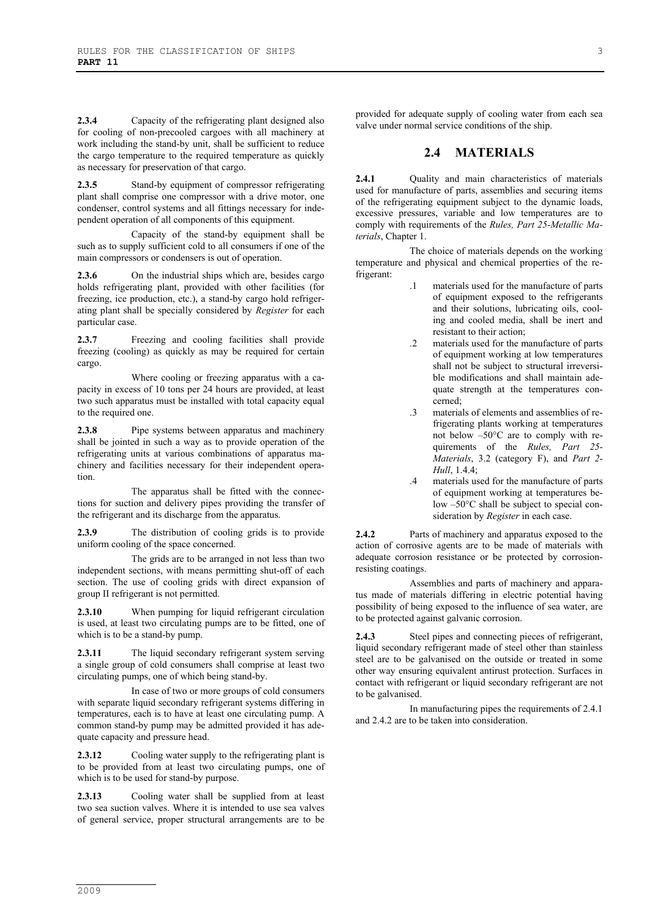**2.3.4** Capacity of the refrigerating plant designed also for cooling of non-precooled cargoes with all machinery at work including the stand*-*by unit, shall be sufficient to reduce the cargo temperature to the required temperature as quickly as necessary for preservation of that cargo.

**2.3.5** Stand-by equipment of compressor refrigerating plant shall comprise one compressor with a drive motor, one condenser, control systems and all fittings necessary for independent operation of all components of this equipment.

Capacity of the stand-by equipment shall be such as to supply sufficient cold to all consumers if one of the main compressors or condensers is out of operation.

2.3.6 On the industrial ships which are, besides cargo holds refrigerating plant, provided with other facilities (for freezing, ice production, etc.), a stand-by cargo hold refrigerating plant shall be specially considered by *Register* for each particular case.

2.3.7 Freezing and cooling facilities shall provide freezing (cooling) as quickly as may be required for certain cargo.

Where cooling or freezing apparatus with a capacity in excess of 10 tons per 24 hours are provided, at least two such apparatus must be installed with total capacity equal to the required one.

**2.3.8** Pipe systems between apparatus and machinery shall be jointed in such a way as to provide operation of the refrigerating units at various combinations of apparatus machinery and facilities necessary for their independent operation.

The apparatus shall be fitted with the connections for suction and delivery pipes providing the transfer of the refrigerant and its discharge from the apparatus.

**2.3.9** The distribution of cooling grids is to provide uniform cooling of the space concerned.

The grids are to be arranged in not less than two independent sections, with means permitting shut-off of each section. The use of cooling grids with direct expansion of group II refrigerant is not permitted.

**2.3.10** When pumping for liquid refrigerant circulation is used, at least two circulating pumps are to be fitted, one of which is to be a stand-by pump.

**2.3.11** The liquid secondary refrigerant system serving a single group of cold consumers shall comprise at least two circulating pumps, one of which being stand-by.

In case of two or more groups of cold consumers with separate liquid secondary refrigerant systems differing in temperatures, each is to have at least one circulating pump. A common stand-by pump may be admitted provided it has adequate capacity and pressure head.

**2.3.12** Cooling water supply to the refrigerating plant is to be provided from at least two circulating pumps, one of which is to be used for stand-by purpose.

**2.3.13** Cooling water shall be supplied from at least two sea suction valves. Where it is intended to use sea valves of general service, proper structural arrangements are to be

provided for adequate supply of cooling water from each sea valve under normal service conditions of the ship.

#### **2.4 MATERIALS**

**2.4.1** Quality and main characteristics of materials used for manufacture of parts, assemblies and securing items of the refrigerating equipment subject to the dynamic loads, excessive pressures, variable and low temperatures are to comply with requirements of the *Rules, Part 25-Metallic Materials*, Chapter 1.

The choice of materials depends on the working temperature and physical and chemical properties of the refrigerant:

- .1 materials used for the manufacture of parts of equipment exposed to the refrigerants and their solutions, lubricating oils, cooling and cooled media, shall be inert and resistant to their action;
- .2 materials used for the manufacture of parts of equipment working at low temperatures shall not be subject to structural irreversible modifications and shall maintain adequate strength at the temperatures concerned;
- .3 materials of elements and assemblies of refrigerating plants working at temperatures not below –50°C are to comply with requirements of the *Rules, Part 25- Materials*, 3.2 (category F), and *Part 2- Hull*, 1.4.4;
- .4 materials used for the manufacture of parts of equipment working at temperatures below –50°C shall be subject to special consideration by *Register* in each case.

**2.4.2** Parts of machinery and apparatus exposed to the action of corrosive agents are to be made of materials with adequate corrosion resistance or be protected by corrosionresisting coatings.

Assemblies and parts of machinery and apparatus made of materials differing in electric potential having possibility of being exposed to the influence of sea water, are to be protected against galvanic corrosion.

**2.4.3** Steel pipes and connecting pieces of refrigerant, liquid secondary refrigerant made of steel other than stainless steel are to be galvanised on the outside or treated in some other way ensuring equivalent antirust protection. Surfaces in contact with refrigerant or liquid secondary refrigerant are not to be galvanised.

In manufacturing pipes the requirements of 2.4.1 and 2.4.2 are to be taken into consideration.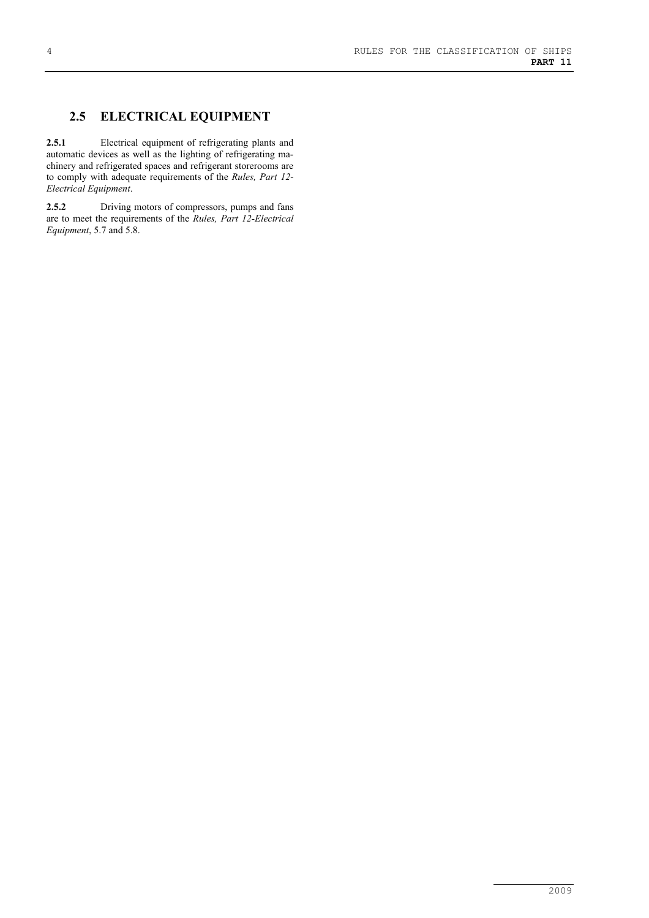### **2.5 ELECTRICAL EQUIPMENT**

**2.5.1** Electrical equipment of refrigerating plants and automatic devices as well as the lighting of refrigerating machinery and refrigerated spaces and refrigerant storerooms are to comply with adequate requirements of the *Rules, Part 12- Electrical Equipment*.

**2.5.2** Driving motors of compressors, pumps and fans are to meet the requirements of the *Rules, Part 12-Electrical Equipment*, 5.7 and 5.8.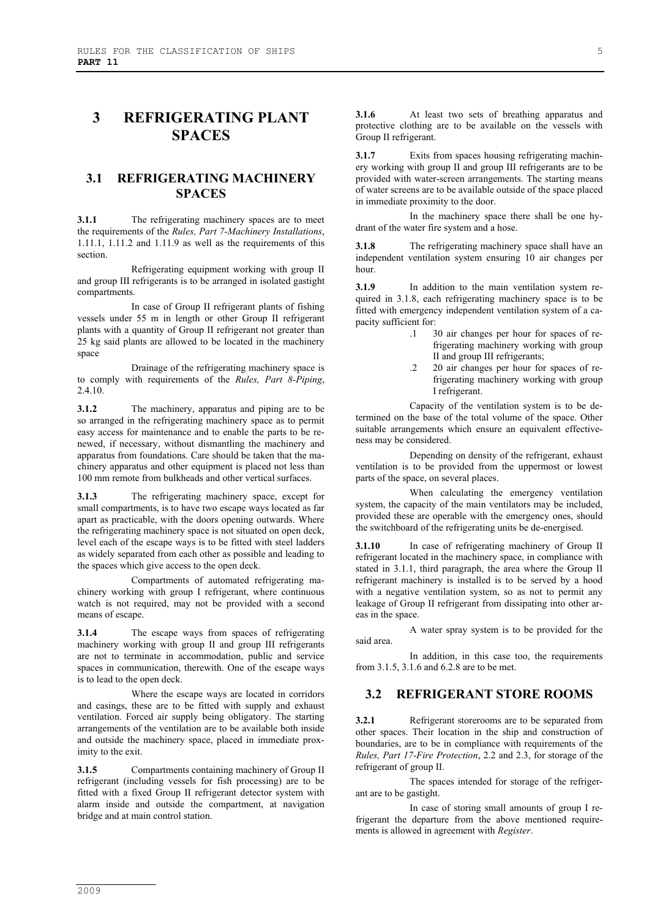# **3 REFRIGERATING PLANT SPACES**

### **3.1 REFRIGERATING MACHINERY SPACES**

**3.1.1** The refrigerating machinery spaces are to meet the requirements of the *Rules, Part 7-Machinery Installations*, 1.11.1, 1.11.2 and 1.11.9 as well as the requirements of this section.

Refrigerating equipment working with group II and group III refrigerants is to be arranged in isolated gastight compartments.

In case of Group II refrigerant plants of fishing vessels under 55 m in length or other Group II refrigerant plants with a quantity of Group II refrigerant not greater than 25 kg said plants are allowed to be located in the machinery space

Drainage of the refrigerating machinery space is to comply with requirements of the *Rules, Part 8-Piping*, 2.4.10.

**3.1.2** The machinery, apparatus and piping are to be so arranged in the refrigerating machinery space as to permit easy access for maintenance and to enable the parts to be renewed, if necessary, without dismantling the machinery and apparatus from foundations. Care should be taken that the machinery apparatus and other equipment is placed not less than 100 mm remote from bulkheads and other vertical surfaces.

**3.1.3** The refrigerating machinery space, except for small compartments, is to have two escape ways located as far apart as practicable, with the doors opening outwards. Where the refrigerating machinery space is not situated on open deck, level each of the escape ways is to be fitted with steel ladders as widely separated from each other as possible and leading to the spaces which give access to the open deck.

Compartments of automated refrigerating machinery working with group I refrigerant, where continuous watch is not required, may not be provided with a second means of escape.

**3.1.4** The escape ways from spaces of refrigerating machinery working with group II and group III refrigerants are not to terminate in accommodation, public and service spaces in communication, therewith. One of the escape ways is to lead to the open deck.

Where the escape ways are located in corridors and casings, these are to be fitted with supply and exhaust ventilation. Forced air supply being obligatory. The starting arrangements of the ventilation are to be available both inside and outside the machinery space, placed in immediate proximity to the exit.

**3.1.5** Compartments containing machinery of Group II refrigerant (including vessels for fish processing) are to be fitted with a fixed Group II refrigerant detector system with alarm inside and outside the compartment, at navigation bridge and at main control station.

**3.1.6** At least two sets of breathing apparatus and protective clothing are to be available on the vessels with Group II refrigerant.

**3.1.7** Exits from spaces housing refrigerating machinery working with group II and group III refrigerants are to be provided with water-screen arrangements. The starting means of water screens are to be available outside of the space placed in immediate proximity to the door.

In the machinery space there shall be one hydrant of the water fire system and a hose.

**3.1.8** The refrigerating machinery space shall have an independent ventilation system ensuring 10 air changes per hour.

**3.1.9** In addition to the main ventilation system required in 3.1.8, each refrigerating machinery space is to be fitted with emergency independent ventilation system of a capacity sufficient for:

- .1 30 air changes per hour for spaces of refrigerating machinery working with group II and group III refrigerants;
- .2 20 air changes per hour for spaces of refrigerating machinery working with group I refrigerant.

Capacity of the ventilation system is to be determined on the base of the total volume of the space. Other suitable arrangements which ensure an equivalent effectiveness may be considered.

Depending on density of the refrigerant, exhaust ventilation is to be provided from the uppermost or lowest parts of the space, on several places.

When calculating the emergency ventilation system, the capacity of the main ventilators may be included, provided these are operable with the emergency ones, should the switchboard of the refrigerating units be de-energised.

**3.1.10** In case of refrigerating machinery of Group II refrigerant located in the machinery space, in compliance with stated in 3.1.1, third paragraph, the area where the Group II refrigerant machinery is installed is to be served by a hood with a negative ventilation system, so as not to permit any leakage of Group II refrigerant from dissipating into other areas in the space.

A water spray system is to be provided for the said area.

In addition, in this case too, the requirements from 3.1.5, 3.1.6 and 6.2.8 are to be met.

# **3.2 REFRIGERANT STORE ROOMS**

**3.2.1** Refrigerant storerooms are to be separated from other spaces. Their location in the ship and construction of boundaries, are to be in compliance with requirements of the *Rules, Part 17-Fire Protection*, 2.2 and 2.3, for storage of the refrigerant of group II.

The spaces intended for storage of the refrigerant are to be gastight.

In case of storing small amounts of group I refrigerant the departure from the above mentioned requirements is allowed in agreement with *Register*.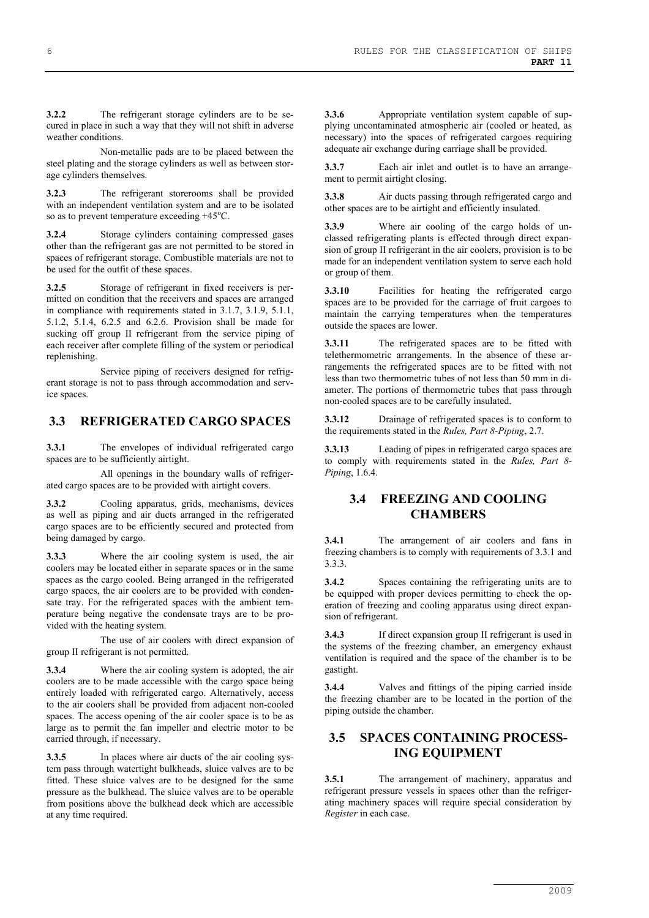**3.2.2** The refrigerant storage cylinders are to be secured in place in such a way that they will not shift in adverse weather conditions.

Non-metallic pads are to be placed between the steel plating and the storage cylinders as well as between storage cylinders themselves.

**3.2.3** The refrigerant storerooms shall be provided with an independent ventilation system and are to be isolated so as to prevent temperature exceeding +45°C.

**3.2.4** Storage cylinders containing compressed gases other than the refrigerant gas are not permitted to be stored in spaces of refrigerant storage. Combustible materials are not to be used for the outfit of these spaces.

**3.2.5** Storage of refrigerant in fixed receivers is permitted on condition that the receivers and spaces are arranged in compliance with requirements stated in 3.1.7, 3.1.9, 5.1.1, 5.1.2, 5.1.4, 6.2.5 and 6.2.6. Provision shall be made for sucking off group II refrigerant from the service piping of each receiver after complete filling of the system or periodical replenishing.

Service piping of receivers designed for refrigerant storage is not to pass through accommodation and service spaces.

#### **3.3 REFRIGERATED CARGO SPACES**

**3.3.1** The envelopes of individual refrigerated cargo spaces are to be sufficiently airtight.

All openings in the boundary walls of refrigerated cargo spaces are to be provided with airtight covers.

**3.3.2** Cooling apparatus, grids, mechanisms, devices as well as piping and air ducts arranged in the refrigerated cargo spaces are to be efficiently secured and protected from being damaged by cargo.

**3.3.3** Where the air cooling system is used, the air coolers may be located either in separate spaces or in the same spaces as the cargo cooled. Being arranged in the refrigerated cargo spaces, the air coolers are to be provided with condensate tray. For the refrigerated spaces with the ambient temperature being negative the condensate trays are to be provided with the heating system.

The use of air coolers with direct expansion of group II refrigerant is not permitted.

**3.3.4** Where the air cooling system is adopted, the air coolers are to be made accessible with the cargo space being entirely loaded with refrigerated cargo. Alternatively, access to the air coolers shall be provided from adjacent non-cooled spaces. The access opening of the air cooler space is to be as large as to permit the fan impeller and electric motor to be carried through, if necessary.

**3.3.5** In places where air ducts of the air cooling system pass through watertight bulkheads, sluice valves are to be fitted. These sluice valves are to be designed for the same pressure as the bulkhead. The sluice valves are to be operable from positions above the bulkhead deck which are accessible at any time required.

**3.3.6** Appropriate ventilation system capable of supplying uncontaminated atmospheric air (cooled or heated, as necessary) into the spaces of refrigerated cargoes requiring adequate air exchange during carriage shall be provided.

**3.3.7** Each air inlet and outlet is to have an arrangement to permit airtight closing.

**3.3.8** Air ducts passing through refrigerated cargo and other spaces are to be airtight and efficiently insulated.

**3.3.9** Where air cooling of the cargo holds of unclassed refrigerating plants is effected through direct expansion of group II refrigerant in the air coolers, provision is to be made for an independent ventilation system to serve each hold or group of them.

**3.3.10** Facilities for heating the refrigerated cargo spaces are to be provided for the carriage of fruit cargoes to maintain the carrying temperatures when the temperatures outside the spaces are lower.

**3.3.11** The refrigerated spaces are to be fitted with telethermometric arrangements. In the absence of these arrangements the refrigerated spaces are to be fitted with not less than two thermometric tubes of not less than 50 mm in diameter. The portions of thermometric tubes that pass through non-cooled spaces are to be carefully insulated.

**3.3.12** Drainage of refrigerated spaces is to conform to the requirements stated in the *Rules, Part 8-Piping*, 2.7.

**3.3.13** Leading of pipes in refrigerated cargo spaces are to comply with requirements stated in the *Rules, Part 8- Piping*, 1.6.4.

### **3.4 FREEZING AND COOLING CHAMBERS**

**3.4.1** The arrangement of air coolers and fans in freezing chambers is to comply with requirements of 3.3.1 and 3.3.3.

**3.4.2** Spaces containing the refrigerating units are to be equipped with proper devices permitting to check the operation of freezing and cooling apparatus using direct expansion of refrigerant.

**3.4.3** If direct expansion group II refrigerant is used in the systems of the freezing chamber, an emergency exhaust ventilation is required and the space of the chamber is to be gastight.

**3.4.4** Valves and fittings of the piping carried inside the freezing chamber are to be located in the portion of the piping outside the chamber.

#### **3.5 SPACES CONTAINING PROCESS-ING EQUIPMENT**

**3.5.1** The arrangement of machinery, apparatus and refrigerant pressure vessels in spaces other than the refrigerating machinery spaces will require special consideration by *Register* in each case.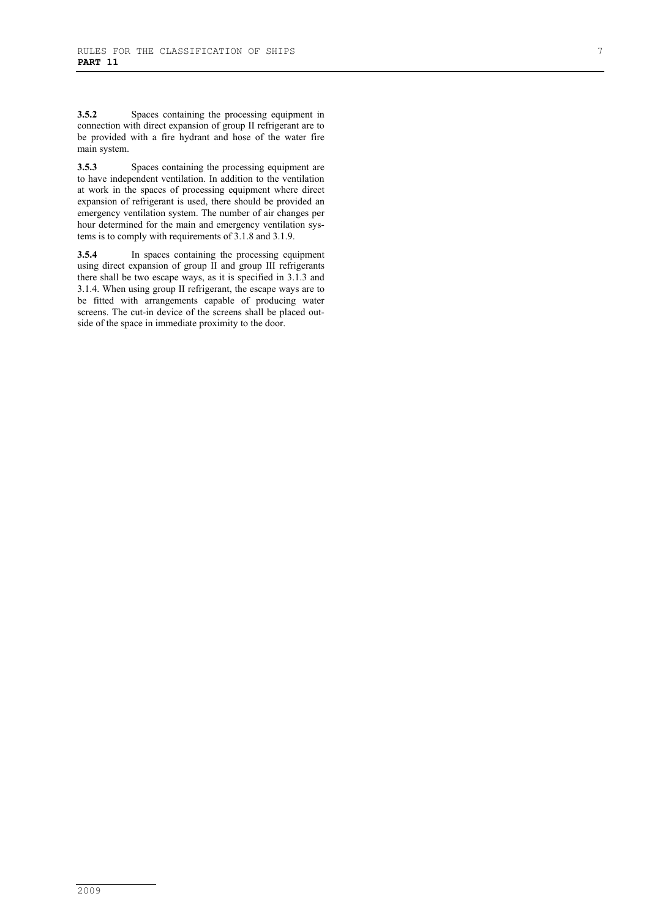**3.5.2** Spaces containing the processing equipment in connection with direct expansion of group II refrigerant are to be provided with a fire hydrant and hose of the water fire main system.

**3.5.3** Spaces containing the processing equipment are to have independent ventilation. In addition to the ventilation at work in the spaces of processing equipment where direct expansion of refrigerant is used, there should be provided an emergency ventilation system. The number of air changes per hour determined for the main and emergency ventilation systems is to comply with requirements of 3.1.8 and 3.1.9.

**3.5.4** In spaces containing the processing equipment using direct expansion of group II and group III refrigerants there shall be two escape ways, as it is specified in 3.1.3 and 3.1.4. When using group II refrigerant, the escape ways are to be fitted with arrangements capable of producing water screens. The cut-in device of the screens shall be placed outside of the space in immediate proximity to the door.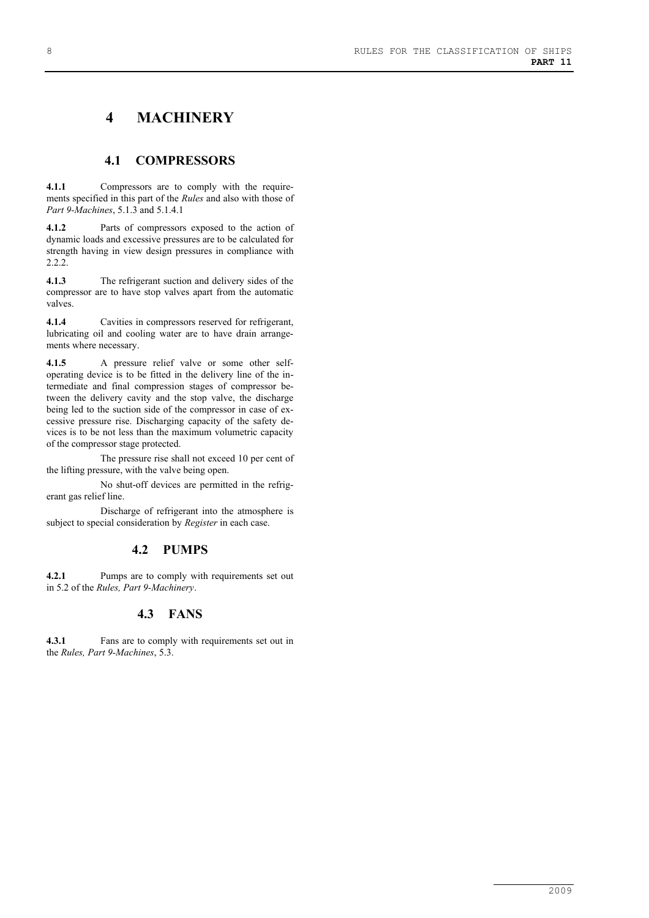# **4 MACHINERY**

### **4.1 COMPRESSORS**

**4.1.1** Compressors are to comply with the requirements specified in this part of the *Rules* and also with those of *Part 9-Machines*, 5.1.3 and 5.1.4.1

**4.1.2** Parts of compressors exposed to the action of dynamic loads and excessive pressures are to be calculated for strength having in view design pressures in compliance with 2.2.2.

**4.1.3** The refrigerant suction and delivery sides of the compressor are to have stop valves apart from the automatic valves.

**4.1.4** Cavities in compressors reserved for refrigerant, lubricating oil and cooling water are to have drain arrangements where necessary.

**4.1.5** A pressure relief valve or some other selfoperating device is to be fitted in the delivery line of the intermediate and final compression stages of compressor between the delivery cavity and the stop valve, the discharge being led to the suction side of the compressor in case of excessive pressure rise. Discharging capacity of the safety devices is to be not less than the maximum volumetric capacity of the compressor stage protected.

The pressure rise shall not exceed 10 per cent of the lifting pressure, with the valve being open.

No shut-off devices are permitted in the refrigerant gas relief line.

Discharge of refrigerant into the atmosphere is subject to special consideration by *Register* in each case.

# **4.2 PUMPS**

**4.2.1** Pumps are to comply with requirements set out in 5.2 of the *Rules, Part 9-Machinery*.

# **4.3 FANS**

**4.3.1** Fans are to comply with requirements set out in the *Rules, Part 9-Machines*, 5.3.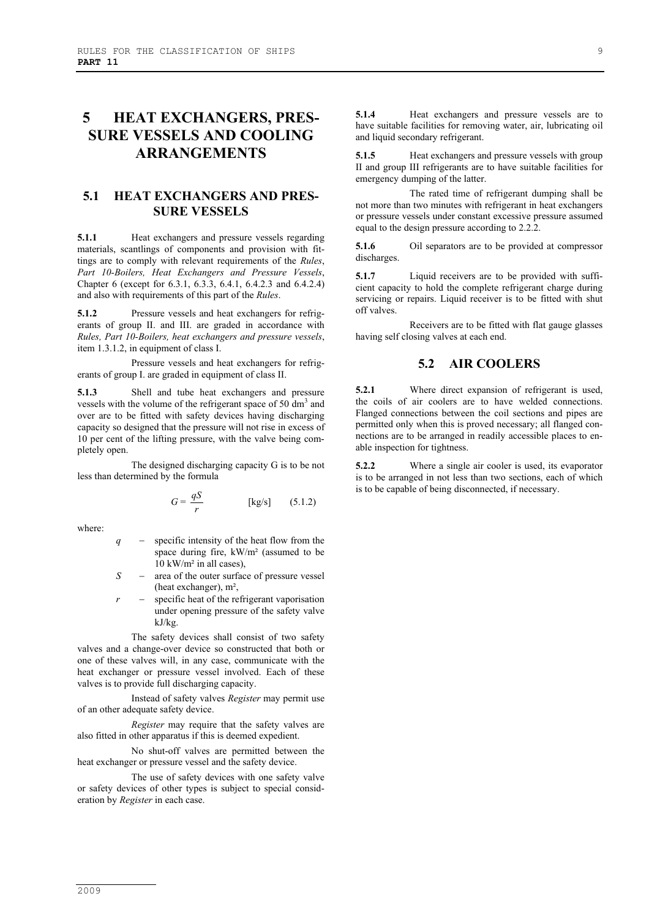# **5 HEAT EXCHANGERS, PRES-SURE VESSELS AND COOLING ARRANGEMENTS**

# **5.1 HEAT EXCHANGERS AND PRES-SURE VESSELS**

**5.1.1** Heat exchangers and pressure vessels regarding materials, scantlings of components and provision with fittings are to comply with relevant requirements of the *Rules*, *Part 10-Boilers, Heat Exchangers and Pressure Vessels*, Chapter 6 (except for 6.3.1, 6.3.3, 6.4.1, 6.4.2.3 and 6.4.2.4) and also with requirements of this part of the *Rules*.

**5.1.2** Pressure vessels and heat exchangers for refrigerants of group II. and III. are graded in accordance with *Rules, Part 10-Boilers, heat exchangers and pressure vessels*, item 1.3.1.2, in equipment of class I.

Pressure vessels and heat exchangers for refrigerants of group I. are graded in equipment of class II.

**5.1.3** Shell and tube heat exchangers and pressure vessels with the volume of the refrigerant space of 50  $\text{dm}^3$  and over are to be fitted with safety devices having discharging capacity so designed that the pressure will not rise in excess of 10 per cent of the lifting pressure, with the valve being completely open.

The designed discharging capacity G is to be not less than determined by the formula

$$
G = \frac{qS}{r} \qquad \qquad [\text{kg/s}] \qquad (5.1.2)
$$

where:

- *q* − specific intensity of the heat flow from the space during fire, kW/m² (assumed to be  $10 \text{ kW/m}^2$  in all cases).
- *S* − area of the outer surface of pressure vessel (heat exchanger), m²,
- specific heat of the refrigerant vaporisation under opening pressure of the safety valve kJ/kg.

The safety devices shall consist of two safety valves and a change-over device so constructed that both or one of these valves will, in any case, communicate with the heat exchanger or pressure vessel involved. Each of these valves is to provide full discharging capacity.

Instead of safety valves *Register* may permit use of an other adequate safety device.

*Register* may require that the safety valves are also fitted in other apparatus if this is deemed expedient.

No shut-off valves are permitted between the heat exchanger or pressure vessel and the safety device.

The use of safety devices with one safety valve or safety devices of other types is subject to special consideration by *Register* in each case.

**5.1.4** Heat exchangers and pressure vessels are to have suitable facilities for removing water, air, lubricating oil and liquid secondary refrigerant.

**5.1.5** Heat exchangers and pressure vessels with group II and group III refrigerants are to have suitable facilities for emergency dumping of the latter.

The rated time of refrigerant dumping shall be not more than two minutes with refrigerant in heat exchangers or pressure vessels under constant excessive pressure assumed equal to the design pressure according to 2.2.2.

**5.1.6** Oil separators are to be provided at compressor discharges.

**5.1.7** Liquid receivers are to be provided with sufficient capacity to hold the complete refrigerant charge during servicing or repairs. Liquid receiver is to be fitted with shut off valves.

Receivers are to be fitted with flat gauge glasses having self closing valves at each end.

### **5.2 AIR COOLERS**

**5.2.1** Where direct expansion of refrigerant is used, the coils of air coolers are to have welded connections. Flanged connections between the coil sections and pipes are permitted only when this is proved necessary; all flanged connections are to be arranged in readily accessible places to enable inspection for tightness.

**5.2.2** Where a single air cooler is used, its evaporator is to be arranged in not less than two sections, each of which is to be capable of being disconnected, if necessary.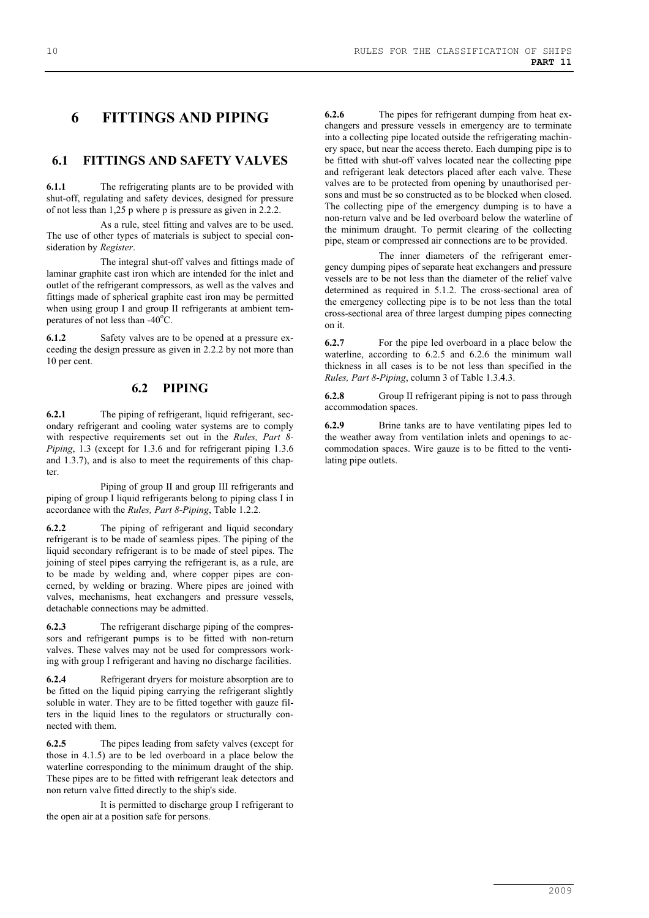# **6 FITTINGS AND PIPING**

# **6.1 FITTINGS AND SAFETY VALVES**

**6.1.1** The refrigerating plants are to be provided with shut-off, regulating and safety devices, designed for pressure of not less than 1,25 p where p is pressure as given in 2.2.2.

As a rule, steel fitting and valves are to be used. The use of other types of materials is subject to special consideration by *Register*.

The integral shut-off valves and fittings made of laminar graphite cast iron which are intended for the inlet and outlet of the refrigerant compressors, as well as the valves and fittings made of spherical graphite cast iron may be permitted when using group I and group II refrigerants at ambient temperatures of not less than  $-40^{\circ}$ C.

**6.1.2** Safety valves are to be opened at a pressure exceeding the design pressure as given in 2.2.2 by not more than 10 per cent.

### **6.2 PIPING**

**6.2.1** The piping of refrigerant, liquid refrigerant, secondary refrigerant and cooling water systems are to comply with respective requirements set out in the *Rules, Part 8- Piping*, 1.3 (except for 1.3.6 and for refrigerant piping 1.3.6 and 1.3.7), and is also to meet the requirements of this chapter.

Piping of group II and group III refrigerants and piping of group I liquid refrigerants belong to piping class I in accordance with the *Rules, Part 8-Piping*, Table 1.2.2.

**6.2.2** The piping of refrigerant and liquid secondary refrigerant is to be made of seamless pipes. The piping of the liquid secondary refrigerant is to be made of steel pipes. The joining of steel pipes carrying the refrigerant is, as a rule, are to be made by welding and, where copper pipes are concerned, by welding or brazing. Where pipes are joined with valves, mechanisms, heat exchangers and pressure vessels, detachable connections may be admitted.

**6.2.3** The refrigerant discharge piping of the compressors and refrigerant pumps is to be fitted with non-return valves. These valves may not be used for compressors working with group I refrigerant and having no discharge facilities.

**6.2.4** Refrigerant dryers for moisture absorption are to be fitted on the liquid piping carrying the refrigerant slightly soluble in water. They are to be fitted together with gauze filters in the liquid lines to the regulators or structurally connected with them.

**6.2.5** The pipes leading from safety valves (except for those in 4.1.5) are to be led overboard in a place below the waterline corresponding to the minimum draught of the ship. These pipes are to be fitted with refrigerant leak detectors and non return valve fitted directly to the ship's side.

It is permitted to discharge group I refrigerant to the open air at a position safe for persons.

**6.2.6** The pipes for refrigerant dumping from heat exchangers and pressure vessels in emergency are to terminate into a collecting pipe located outside the refrigerating machinery space, but near the access thereto. Each dumping pipe is to be fitted with shut-off valves located near the collecting pipe and refrigerant leak detectors placed after each valve. These valves are to be protected from opening by unauthorised persons and must be so constructed as to be blocked when closed. The collecting pipe of the emergency dumping is to have a non-return valve and be led overboard below the waterline of the minimum draught. To permit clearing of the collecting pipe, steam or compressed air connections are to be provided.

The inner diameters of the refrigerant emergency dumping pipes of separate heat exchangers and pressure vessels are to be not less than the diameter of the relief valve determined as required in 5.1.2. The cross-sectional area of the emergency collecting pipe is to be not less than the total cross-sectional area of three largest dumping pipes connecting on it.

**6.2.7** For the pipe led overboard in a place below the waterline, according to 6.2.5 and 6.2.6 the minimum wall thickness in all cases is to be not less than specified in the *Rules, Part 8-Piping*, column 3 of Table 1.3.4.3.

**6.2.8** Group II refrigerant piping is not to pass through accommodation spaces.

**6.2.9** Brine tanks are to have ventilating pipes led to the weather away from ventilation inlets and openings to accommodation spaces. Wire gauze is to be fitted to the ventilating pipe outlets.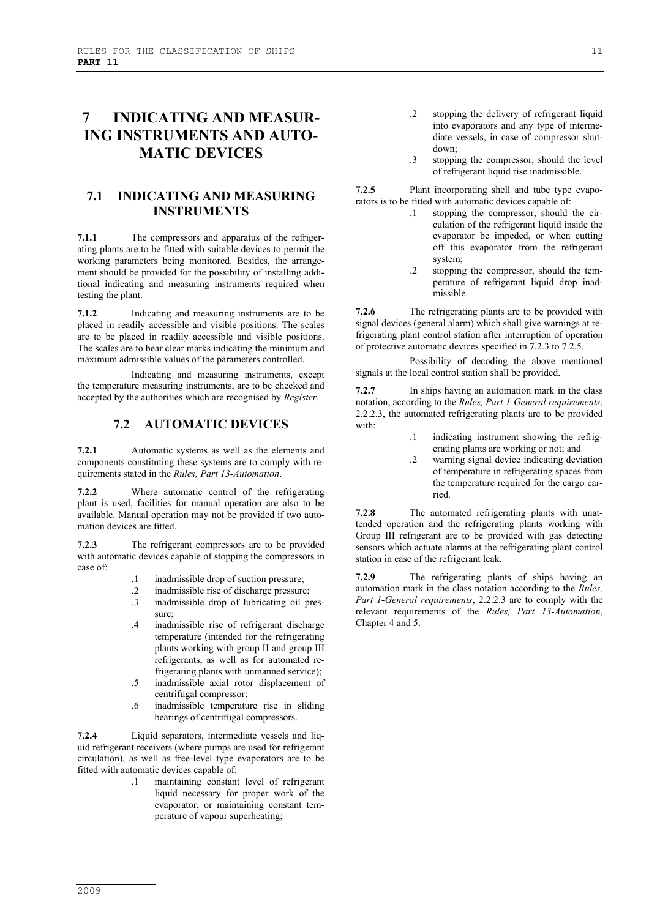# **7 INDICATING AND MEASUR-ING INSTRUMENTS AND AUTO-MATIC DEVICES**

# **7.1 INDICATING AND MEASURING INSTRUMENTS**

**7.1.1** The compressors and apparatus of the refrigerating plants are to be fitted with suitable devices to permit the working parameters being monitored. Besides, the arrangement should be provided for the possibility of installing additional indicating and measuring instruments required when testing the plant.

**7.1.2** Indicating and measuring instruments are to be placed in readily accessible and visible positions. The scales are to be placed in readily accessible and visible positions. The scales are to bear clear marks indicating the minimum and maximum admissible values of the parameters controlled.

Indicating and measuring instruments, except the temperature measuring instruments, are to be checked and accepted by the authorities which are recognised by *Register*.

#### **7.2 AUTOMATIC DEVICES**

**7.2.1** Automatic systems as well as the elements and components constituting these systems are to comply with requirements stated in the *Rules, Part 13-Automation*.

**7.2.2** Where automatic control of the refrigerating plant is used, facilities for manual operation are also to be available. Manual operation may not be provided if two automation devices are fitted.

**7.2.3** The refrigerant compressors are to be provided with automatic devices capable of stopping the compressors in case of:

- .1 inadmissible drop of suction pressure;
- .2 inadmissible rise of discharge pressure;
- .3 inadmissible drop of lubricating oil pressure;
- .4 inadmissible rise of refrigerant discharge temperature (intended for the refrigerating plants working with group II and group III refrigerants, as well as for automated refrigerating plants with unmanned service);
- .5 inadmissible axial rotor displacement of centrifugal compressor;
- .6 inadmissible temperature rise in sliding bearings of centrifugal compressors.

**7.2.4** Liquid separators, intermediate vessels and liquid refrigerant receivers (where pumps are used for refrigerant circulation), as well as free-level type evaporators are to be fitted with automatic devices capable of:

.1 maintaining constant level of refrigerant liquid necessary for proper work of the evaporator, or maintaining constant temperature of vapour superheating;

- .2 stopping the delivery of refrigerant liquid into evaporators and any type of intermediate vessels, in case of compressor shutdown;
- .3 stopping the compressor, should the level of refrigerant liquid rise inadmissible.

**7.2.5** Plant incorporating shell and tube type evaporators is to be fitted with automatic devices capable of:

- .1 stopping the compressor, should the circulation of the refrigerant liquid inside the evaporator be impeded, or when cutting off this evaporator from the refrigerant system;
- .2 stopping the compressor, should the temperature of refrigerant liquid drop inadmissible.

**7.2.6** The refrigerating plants are to be provided with signal devices (general alarm) which shall give warnings at refrigerating plant control station after interruption of operation of protective automatic devices specified in 7.2.3 to 7.2.5.

Possibility of decoding the above mentioned signals at the local control station shall be provided.

**7.2.7** In ships having an automation mark in the class notation, according to the *Rules, Part 1-General requirements*, 2.2.2.3, the automated refrigerating plants are to be provided with:

- .1 indicating instrument showing the refrigerating plants are working or not; and
- .2 warning signal device indicating deviation of temperature in refrigerating spaces from the temperature required for the cargo carried.

**7.2.8** The automated refrigerating plants with unattended operation and the refrigerating plants working with Group III refrigerant are to be provided with gas detecting sensors which actuate alarms at the refrigerating plant control station in case of the refrigerant leak.

**7.2.9** The refrigerating plants of ships having an automation mark in the class notation according to the *Rules, Part 1-General requirements*, 2.2.2.3 are to comply with the relevant requirements of the *Rules, Part 13-Automation*, Chapter 4 and 5.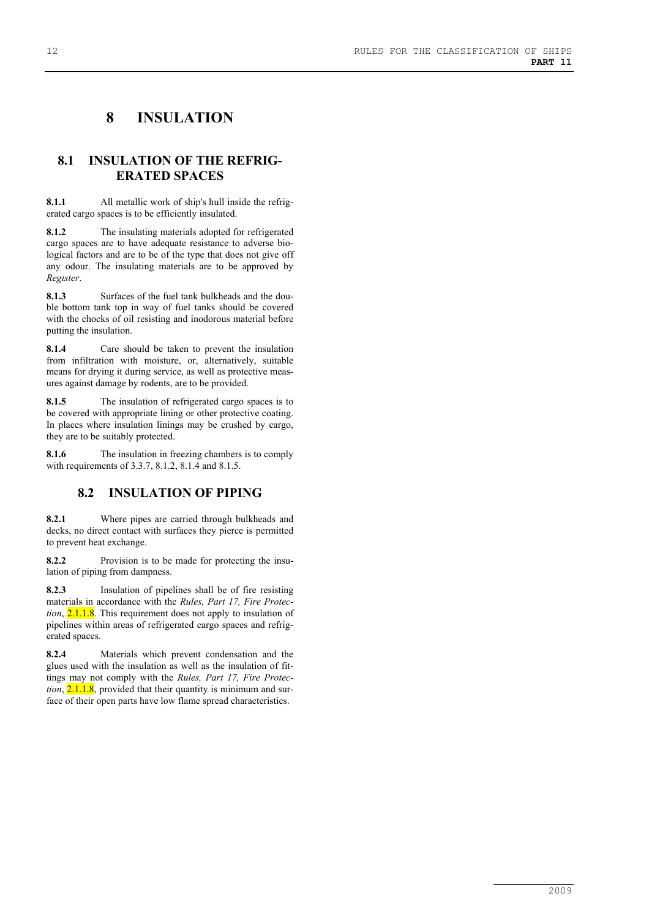# **8 INSULATION**

### **8.1 INSULATION OF THE REFRIG-ERATED SPACES**

**8.1.1** All metallic work of ship's hull inside the refrigerated cargo spaces is to be efficiently insulated.

**8.1.2** The insulating materials adopted for refrigerated cargo spaces are to have adequate resistance to adverse biological factors and are to be of the type that does not give off any odour. The insulating materials are to be approved by *Register*.

**8.1.3** Surfaces of the fuel tank bulkheads and the double bottom tank top in way of fuel tanks should be covered with the chocks of oil resisting and inodorous material before putting the insulation.

**8.1.4** Care should be taken to prevent the insulation from infiltration with moisture, or, alternatively, suitable means for drying it during service, as well as protective measures against damage by rodents, are to be provided.

**8.1.5** The insulation of refrigerated cargo spaces is to be covered with appropriate lining or other protective coating. In places where insulation linings may be crushed by cargo, they are to be suitably protected.

**8.1.6** The insulation in freezing chambers is to comply with requirements of 3.3.7, 8.1.2, 8.1.4 and 8.1.5.

# **8.2 INSULATION OF PIPING**

**8.2.1** Where pipes are carried through bulkheads and decks, no direct contact with surfaces they pierce is permitted to prevent heat exchange.

**8.2.2** Provision is to be made for protecting the insulation of piping from dampness.

**8.2.3** Insulation of pipelines shall be of fire resisting materials in accordance with the *Rules, Part 17, Fire Protection*, 2.1.1.8. This requirement does not apply to insulation of pipelines within areas of refrigerated cargo spaces and refrigerated spaces.

**8.2.4** Materials which prevent condensation and the glues used with the insulation as well as the insulation of fittings may not comply with the *Rules, Part 17, Fire Protection*, 2.1.1.8, provided that their quantity is minimum and surface of their open parts have low flame spread characteristics.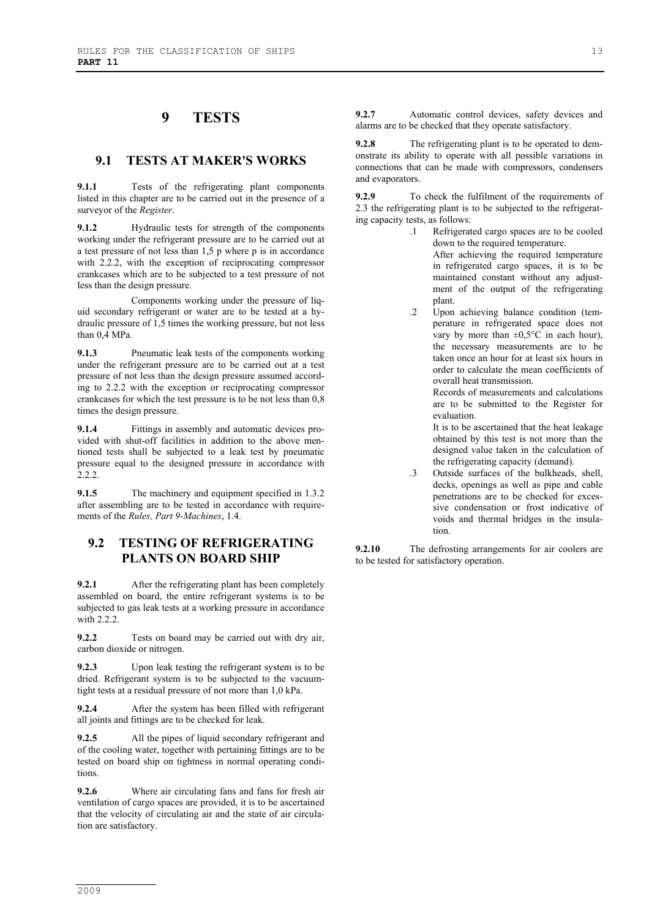# **9 TESTS**

#### **9.1 TESTS AT MAKER'S WORKS**

**9.1.1** Tests of the refrigerating plant components listed in this chapter are to be carried out in the presence of a surveyor of the *Register*.

**9.1.2** Hydraulic tests for strength of the components working under the refrigerant pressure are to be carried out at a test pressure of not less than 1,5 p where p is in accordance with 2.2.2, with the exception of reciprocating compressor crankcases which are to be subjected to a test pressure of not less than the design pressure.

Components working under the pressure of liquid secondary refrigerant or water are to be tested at a hydraulic pressure of 1,5 times the working pressure, but not less than 0,4 MPa.

**9.1.3** Pneumatic leak tests of the components working under the refrigerant pressure are to be carried out at a test pressure of not less than the design pressure assumed according to 2.2.2 with the exception or reciprocating compressor crankcases for which the test pressure is to be not less than 0,8 times the design pressure.

**9.1.4** Fittings in assembly and automatic devices provided with shut-off facilities in addition to the above mentioned tests shall be subjected to a leak test by pneumatic pressure equal to the designed pressure in accordance with 2.2.2.

**9.1.5** The machinery and equipment specified in 1.3.2 after assembling are to be tested in accordance with requirements of the *Rules, Part 9-Machines*, 1.4.

### **9.2 TESTING OF REFRIGERATING PLANTS ON BOARD SHIP**

**9.2.1** After the refrigerating plant has been completely assembled on board, the entire refrigerant systems is to be subjected to gas leak tests at a working pressure in accordance with 2.2.2.

**9.2.2** Tests on board may be carried out with dry air, carbon dioxide or nitrogen.

**9.2.3** Upon leak testing the refrigerant system is to be dried. Refrigerant system is to be subjected to the vacuumtight tests at a residual pressure of not more than 1,0 kPa.

**9.2.4** After the system has been filled with refrigerant all joints and fittings are to be checked for leak.

**9.2.5** All the pipes of liquid secondary refrigerant and of the cooling water, together with pertaining fittings are to be tested on board ship on tightness in normal operating conditions.

**9.2.6** Where air circulating fans and fans for fresh air ventilation of cargo spaces are provided, it is to be ascertained that the velocity of circulating air and the state of air circulation are satisfactory.

**9.2.7** Automatic control devices, safety devices and alarms are to be checked that they operate satisfactory.

**9.2.8** The refrigerating plant is to be operated to demonstrate its ability to operate with all possible variations in connections that can be made with compressors, condensers and evaporators.

**9.2.9** To check the fulfilment of the requirements of 2.3 the refrigerating plant is to be subjected to the refrigerating capacity tests, as follows:

- .1 Refrigerated cargo spaces are to be cooled down to the required temperature. After achieving the required temperature in refrigerated cargo spaces, it is to be maintained constant without any adjustment of the output of the refrigerating plant.
- .2 Upon achieving balance condition (temperature in refrigerated space does not vary by more than  $\pm 0.5^{\circ}$ C in each hour), the necessary measurements are to be taken once an hour for at least six hours in order to calculate the mean coefficients of overall heat transmission.

Records of measurements and calculations are to be submitted to the Register for evaluation.

It is to be ascertained that the heat leakage obtained by this test is not more than the designed value taken in the calculation of the refrigerating capacity (demand).

.3 Outside surfaces of the bulkheads, shell, decks, openings as well as pipe and cable penetrations are to be checked for excessive condensation or frost indicative of voids and thermal bridges in the insulation.

**9.2.10** The defrosting arrangements for air coolers are to be tested for satisfactory operation.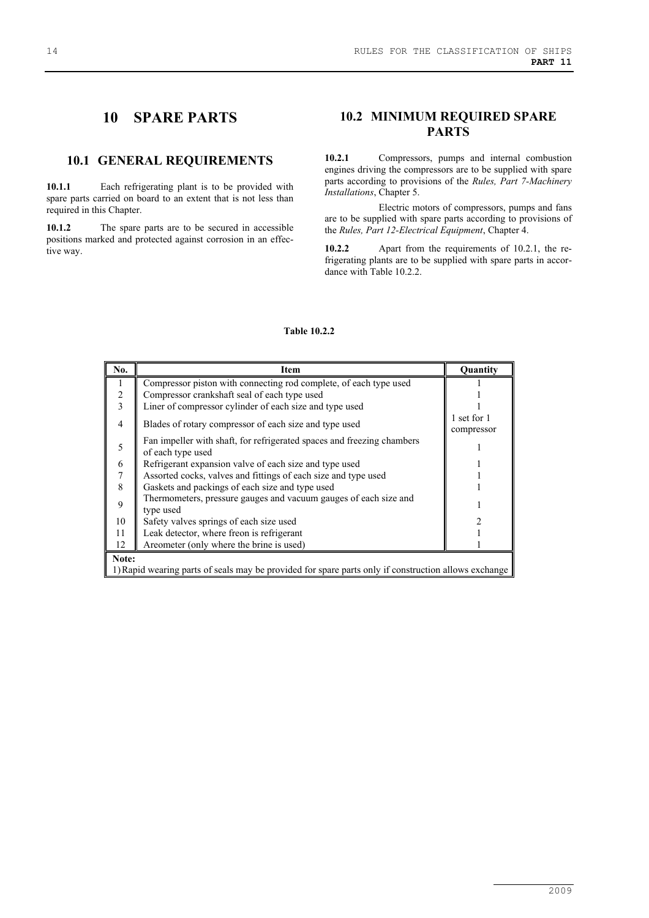# **10 SPARE PARTS**

#### **10.1 GENERAL REQUIREMENTS**

**10.1.1** Each refrigerating plant is to be provided with spare parts carried on board to an extent that is not less than required in this Chapter.

**10.1.2** The spare parts are to be secured in accessible positions marked and protected against corrosion in an effective way.

# **10.2 MINIMUM REQUIRED SPARE PARTS**

**10.2.1** Compressors, pumps and internal combustion engines driving the compressors are to be supplied with spare parts according to provisions of the *Rules, Part 7-Machinery Installations*, Chapter 5.

Electric motors of compressors, pumps and fans are to be supplied with spare parts according to provisions of the *Rules, Part 12-Electrical Equipment*, Chapter 4.

**10.2.2** Apart from the requirements of 10.2.1, the refrigerating plants are to be supplied with spare parts in accordance with Table 10.2.2.

| No.                                                                                                  | Item                                                                                        | Quantity                  |  |  |
|------------------------------------------------------------------------------------------------------|---------------------------------------------------------------------------------------------|---------------------------|--|--|
| $\overline{1}$                                                                                       | Compressor piston with connecting rod complete, of each type used                           |                           |  |  |
| $\sqrt{2}$                                                                                           | Compressor crankshaft seal of each type used                                                |                           |  |  |
| $\overline{\mathbf{3}}$                                                                              | Liner of compressor cylinder of each size and type used                                     |                           |  |  |
| $\overline{4}$                                                                                       | Blades of rotary compressor of each size and type used                                      | 1 set for 1<br>compressor |  |  |
| 5                                                                                                    | Fan impeller with shaft, for refrigerated spaces and freezing chambers<br>of each type used |                           |  |  |
| 6                                                                                                    | Refrigerant expansion valve of each size and type used                                      |                           |  |  |
| $\boldsymbol{7}$                                                                                     | Assorted cocks, valves and fittings of each size and type used                              |                           |  |  |
| 8                                                                                                    | Gaskets and packings of each size and type used                                             |                           |  |  |
| 9                                                                                                    | Thermometers, pressure gauges and vacuum gauges of each size and<br>type used               |                           |  |  |
| 10                                                                                                   | Safety valves springs of each size used                                                     |                           |  |  |
| 11                                                                                                   | Leak detector, where freon is refrigerant                                                   |                           |  |  |
| 12                                                                                                   | Areometer (only where the brine is used)                                                    |                           |  |  |
| Note:                                                                                                |                                                                                             |                           |  |  |
| 1) Rapid wearing parts of seals may be provided for spare parts only if construction allows exchange |                                                                                             |                           |  |  |

#### **Table 10.2.2**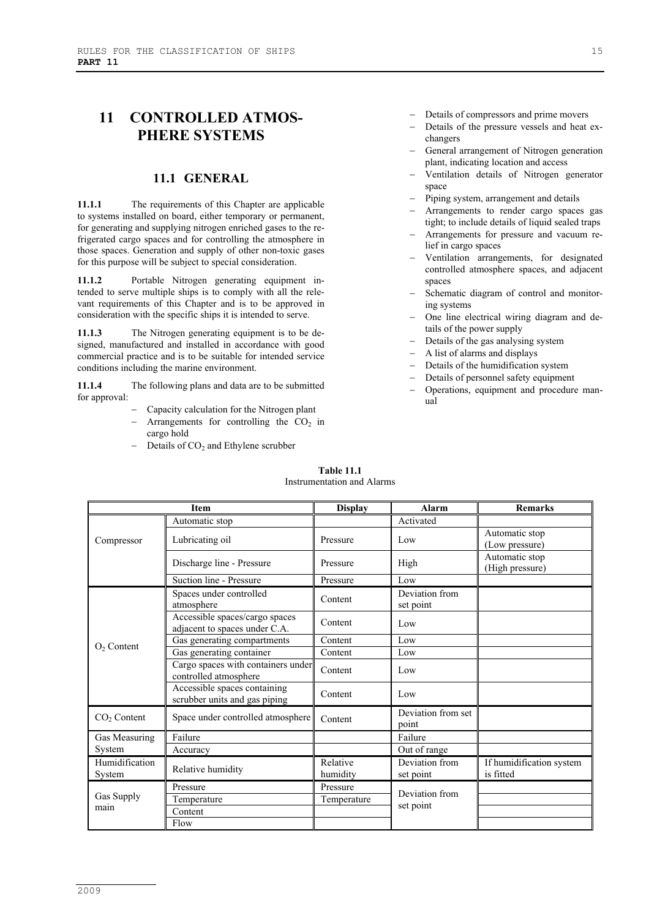# **11 CONTROLLED ATMOS-PHERE SYSTEMS**

#### **11.1 GENERAL**

**11.1.1** The requirements of this Chapter are applicable to systems installed on board, either temporary or permanent, for generating and supplying nitrogen enriched gases to the refrigerated cargo spaces and for controlling the atmosphere in those spaces. Generation and supply of other non-toxic gases for this purpose will be subject to special consideration.

**11.1.2** Portable Nitrogen generating equipment intended to serve multiple ships is to comply with all the relevant requirements of this Chapter and is to be approved in consideration with the specific ships it is intended to serve.

**11.1.3** The Nitrogen generating equipment is to be designed, manufactured and installed in accordance with good commercial practice and is to be suitable for intended service conditions including the marine environment.

**11.1.4** The following plans and data are to be submitted for approval:

- − Capacity calculation for the Nitrogen plant Arrangements for controlling the  $CO<sub>2</sub>$  in cargo hold
- − Details of CO2 and Ethylene scrubber
- Details of compressors and prime movers
- − Details of the pressure vessels and heat exchangers
- − General arrangement of Nitrogen generation plant, indicating location and access
- − Ventilation details of Nitrogen generator space
- Piping system, arrangement and details
- Arrangements to render cargo spaces gas tight; to include details of liquid sealed traps
- − Arrangements for pressure and vacuum relief in cargo spaces
- − Ventilation arrangements, for designated controlled atmosphere spaces, and adjacent spaces
- Schematic diagram of control and monitoring systems
- − One line electrical wiring diagram and details of the power supply
- − Details of the gas analysing system
- − A list of alarms and displays
- − Details of the humidification system
- − Details of personnel safety equipment
- − Operations, equipment and procedure manual

| <b>Item</b>              |                                                                 | <b>Display</b>       | <b>Alarm</b>                | <b>Remarks</b>                        |
|--------------------------|-----------------------------------------------------------------|----------------------|-----------------------------|---------------------------------------|
|                          | Automatic stop                                                  |                      | Activated                   |                                       |
| Compressor               | Lubricating oil                                                 | Pressure             | Low                         | Automatic stop<br>(Low pressure)      |
|                          | Discharge line - Pressure                                       | Pressure             | High                        | Automatic stop<br>(High pressure)     |
|                          | Suction line - Pressure                                         | Pressure             | Low                         |                                       |
|                          | Spaces under controlled<br>atmosphere                           | Content              | Deviation from<br>set point |                                       |
|                          | Accessible spaces/cargo spaces<br>adjacent to spaces under C.A. | Content              | Low                         |                                       |
| $O2$ Content             | Gas generating compartments                                     | Content              | Low                         |                                       |
|                          | Gas generating container                                        | Content              | Low                         |                                       |
|                          | Cargo spaces with containers under<br>controlled atmosphere     | Content              | Low                         |                                       |
|                          | Accessible spaces containing<br>scrubber units and gas piping   | Content              | Low                         |                                       |
| CO <sub>2</sub> Content  | Space under controlled atmosphere                               | Content              | Deviation from set<br>point |                                       |
| Gas Measuring            | Failure                                                         |                      | Failure                     |                                       |
| System                   | Accuracy                                                        |                      | Out of range                |                                       |
| Humidification<br>System | Relative humidity                                               | Relative<br>humidity | Deviation from<br>set point | If humidification system<br>is fitted |
|                          | Pressure                                                        | Pressure             | Deviation from              |                                       |
| Gas Supply               | Temperature                                                     | Temperature          |                             |                                       |
| main                     | Content                                                         |                      | set point                   |                                       |
|                          | Flow                                                            |                      |                             |                                       |

#### **Table 11.1** Instrumentation and Alarms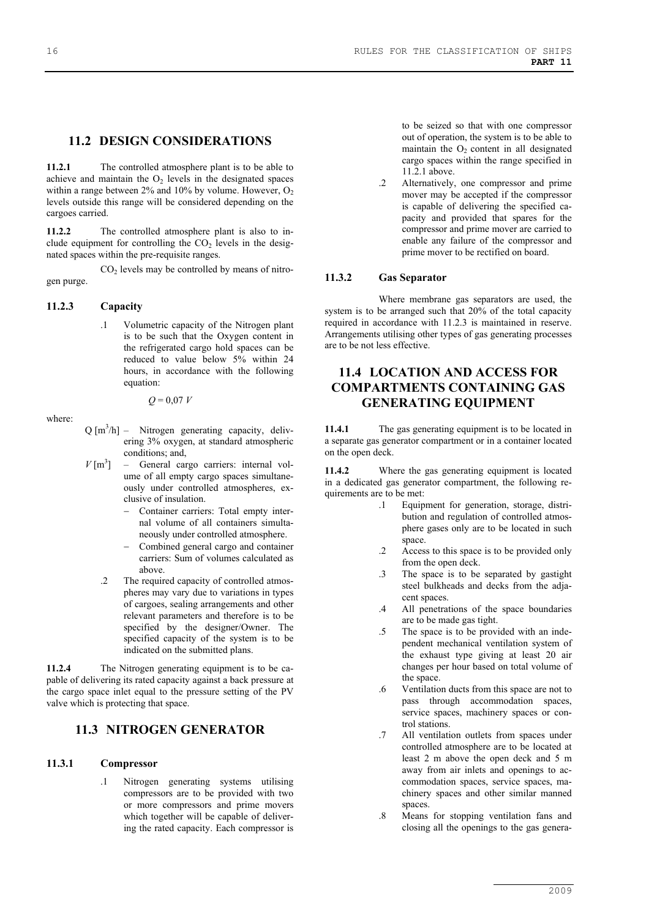#### **11.2 DESIGN CONSIDERATIONS**

**11.2.1** The controlled atmosphere plant is to be able to achieve and maintain the  $O<sub>2</sub>$  levels in the designated spaces within a range between  $2\%$  and  $10\%$  by volume. However,  $O_2$ levels outside this range will be considered depending on the cargoes carried.

**11.2.2** The controlled atmosphere plant is also to include equipment for controlling the  $CO<sub>2</sub>$  levels in the designated spaces within the pre-requisite ranges.

 $CO<sub>2</sub>$  levels may be controlled by means of nitrogen purge.

#### **11.2.3 Capacity**

.1 Volumetric capacity of the Nitrogen plant is to be such that the Oxygen content in the refrigerated cargo hold spaces can be reduced to value below 5% within 24 hours, in accordance with the following equation:

where:

- *Q* = 0,07 *V*
- $Q[m^3/h]$  Nitrogen generating capacity, delivering 3% oxygen, at standard atmospheric conditions; and,
- $V$   $\text{Im}^3$ ] - General cargo carriers: internal volume of all empty cargo spaces simultaneously under controlled atmospheres, exclusive of insulation.
	- − Container carriers: Total empty internal volume of all containers simultaneously under controlled atmosphere.
	- − Combined general cargo and container carriers: Sum of volumes calculated as above.
	- .2 The required capacity of controlled atmospheres may vary due to variations in types of cargoes, sealing arrangements and other relevant parameters and therefore is to be specified by the designer/Owner. The specified capacity of the system is to be indicated on the submitted plans.

**11.2.4** The Nitrogen generating equipment is to be capable of delivering its rated capacity against a back pressure at the cargo space inlet equal to the pressure setting of the PV valve which is protecting that space.

### **11.3 NITROGEN GENERATOR**

#### **11.3.1 Compressor**

.1 Nitrogen generating systems utilising compressors are to be provided with two or more compressors and prime movers which together will be capable of delivering the rated capacity. Each compressor is

to be seized so that with one compressor out of operation, the system is to be able to maintain the  $O<sub>2</sub>$  content in all designated cargo spaces within the range specified in 11.2.1 above.

.2 Alternatively, one compressor and prime mover may be accepted if the compressor is capable of delivering the specified capacity and provided that spares for the compressor and prime mover are carried to enable any failure of the compressor and prime mover to be rectified on board.

#### **11.3.2 Gas Separator**

Where membrane gas separators are used, the system is to be arranged such that 20% of the total capacity required in accordance with 11.2.3 is maintained in reserve. Arrangements utilising other types of gas generating processes are to be not less effective.

# **11.4 LOCATION AND ACCESS FOR COMPARTMENTS CONTAINING GAS GENERATING EQUIPMENT**

**11.4.1** The gas generating equipment is to be located in a separate gas generator compartment or in a container located on the open deck.

**11.4.2** Where the gas generating equipment is located in a dedicated gas generator compartment, the following requirements are to be met:

- .1 Equipment for generation, storage, distribution and regulation of controlled atmosphere gases only are to be located in such space.
- .2 Access to this space is to be provided only from the open deck.
- .3 The space is to be separated by gastight steel bulkheads and decks from the adjacent spaces.
- .4 All penetrations of the space boundaries are to be made gas tight.
- .5 The space is to be provided with an independent mechanical ventilation system of the exhaust type giving at least 20 air changes per hour based on total volume of the space.
- .6 Ventilation ducts from this space are not to pass through accommodation spaces, service spaces, machinery spaces or control stations.
- .7 All ventilation outlets from spaces under controlled atmosphere are to be located at least 2 m above the open deck and 5 m away from air inlets and openings to accommodation spaces, service spaces, machinery spaces and other similar manned spaces.
- .8 Means for stopping ventilation fans and closing all the openings to the gas genera-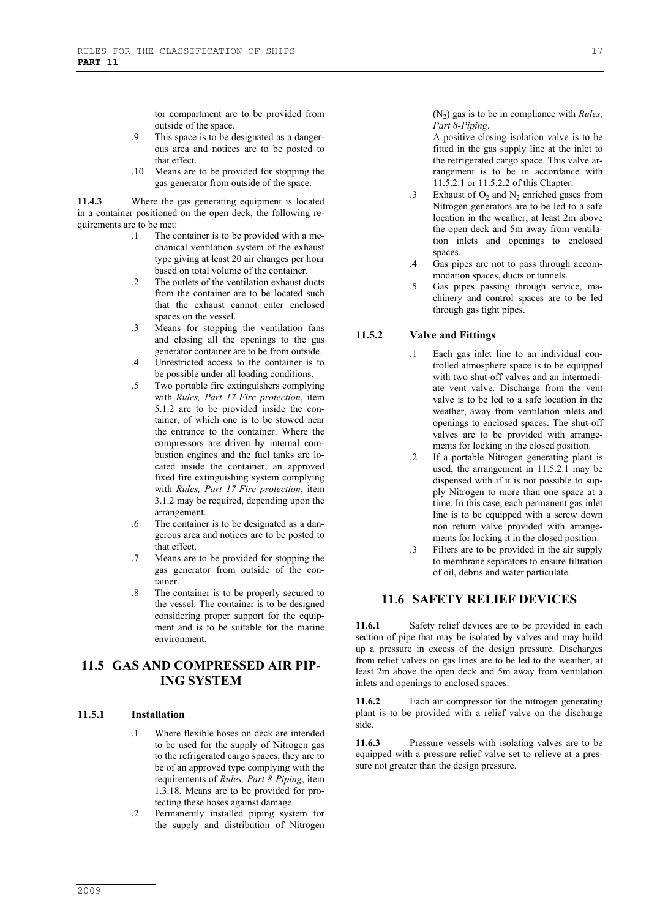tor compartment are to be provided from outside of the space.

- .9 This space is to be designated as a dangerous area and notices are to be posted to that effect.
- .10 Means are to be provided for stopping the gas generator from outside of the space.

**11.4.3** Where the gas generating equipment is located in a container positioned on the open deck, the following requirements are to be met:

- .1 The container is to be provided with a mechanical ventilation system of the exhaust type giving at least 20 air changes per hour based on total volume of the container.
- .2 The outlets of the ventilation exhaust ducts from the container are to be located such that the exhaust cannot enter enclosed spaces on the vessel.
- .3 Means for stopping the ventilation fans and closing all the openings to the gas generator container are to be from outside.
- .4 Unrestricted access to the container is to be possible under all loading conditions.
- .5 Two portable fire extinguishers complying with *Rules, Part 17-Fire protection*, item 5.1.2 are to be provided inside the container, of which one is to be stowed near the entrance to the container. Where the compressors are driven by internal combustion engines and the fuel tanks are located inside the container, an approved fixed fire extinguishing system complying with *Rules, Part 17-Fire protection*, item 3.1.2 may be required, depending upon the arrangement.
- .6 The container is to be designated as a dangerous area and notices are to be posted to that effect.
- .7 Means are to be provided for stopping the gas generator from outside of the container.
- .8 The container is to be properly secured to the vessel. The container is to be designed considering proper support for the equipment and is to be suitable for the marine environment.

# **11.5 GAS AND COMPRESSED AIR PIP-ING SYSTEM**

#### **11.5.1 Installation**

- .1 Where flexible hoses on deck are intended to be used for the supply of Nitrogen gas to the refrigerated cargo spaces, they are to be of an approved type complying with the requirements of *Rules, Part 8-Piping*, item 1.3.18. Means are to be provided for protecting these hoses against damage.
- .2 Permanently installed piping system for the supply and distribution of Nitrogen

 $(N_2)$  gas is to be in compliance with *Rules*, *Part 8-Piping*.

A positive closing isolation valve is to be fitted in the gas supply line at the inlet to the refrigerated cargo space. This valve arrangement is to be in accordance with 11.5.2.1 or 11.5.2.2 of this Chapter.

- .3 Exhaust of  $O_2$  and  $N_2$  enriched gases from Nitrogen generators are to be led to a safe location in the weather, at least 2m above the open deck and 5m away from ventilation inlets and openings to enclosed spaces.
- .4 Gas pipes are not to pass through accommodation spaces, ducts or tunnels.
- .5 Gas pipes passing through service, machinery and control spaces are to be led through gas tight pipes.

#### **11.5.2 Valve and Fittings**

- .1 Each gas inlet line to an individual controlled atmosphere space is to be equipped with two shut-off valves and an intermediate vent valve. Discharge from the vent valve is to be led to a safe location in the weather, away from ventilation inlets and openings to enclosed spaces. The shut-off valves are to be provided with arrangements for locking in the closed position.
- .2 If a portable Nitrogen generating plant is used, the arrangement in 11.5.2.1 may be dispensed with if it is not possible to supply Nitrogen to more than one space at a time. In this case, each permanent gas inlet line is to be equipped with a screw down non return valve provided with arrangements for locking it in the closed position.
- .3 Filters are to be provided in the air supply to membrane separators to ensure filtration of oil, debris and water particulate.

#### **11.6 SAFETY RELIEF DEVICES**

**11.6.1** Safety relief devices are to be provided in each section of pipe that may be isolated by valves and may build up a pressure in excess of the design pressure. Discharges from relief valves on gas lines are to be led to the weather, at least 2m above the open deck and 5m away from ventilation inlets and openings to enclosed spaces.

**11.6.2** Each air compressor for the nitrogen generating plant is to be provided with a relief valve on the discharge side.

**11.6.3** Pressure vessels with isolating valves are to be equipped with a pressure relief valve set to relieve at a pressure not greater than the design pressure.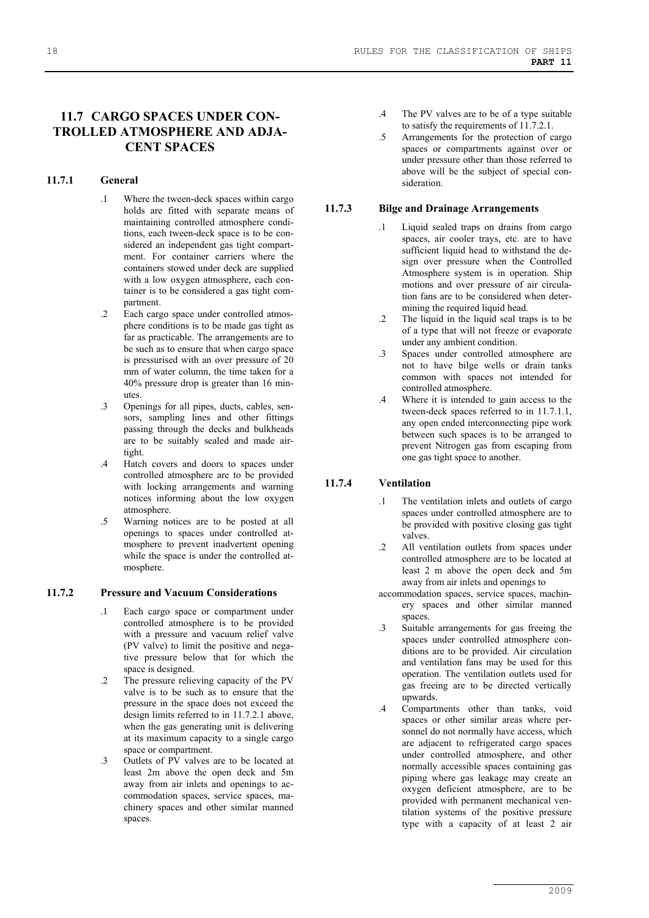# **11.7 CARGO SPACES UNDER CON-TROLLED ATMOSPHERE AND ADJA-CENT SPACES**

#### **11.7.1 General**

- .1 Where the tween-deck spaces within cargo holds are fitted with separate means of maintaining controlled atmosphere conditions, each tween-deck space is to be considered an independent gas tight compartment. For container carriers where the containers stowed under deck are supplied with a low oxygen atmosphere, each container is to be considered a gas tight compartment.
- .2 Each cargo space under controlled atmosphere conditions is to be made gas tight as far as practicable. The arrangements are to be such as to ensure that when cargo space is pressurised with an over pressure of 20 mm of water column, the time taken for a 40% pressure drop is greater than 16 minutes.
- .3 Openings for all pipes, ducts, cables, sensors, sampling lines and other fittings passing through the decks and bulkheads are to be suitably sealed and made airtight.
- .4 Hatch covers and doors to spaces under controlled atmosphere are to be provided with locking arrangements and warning notices informing about the low oxygen atmosphere.
- .5 Warning notices are to be posted at all openings to spaces under controlled atmosphere to prevent inadvertent opening while the space is under the controlled atmosphere.

#### **11.7.2 Pressure and Vacuum Considerations**

- .1 Each cargo space or compartment under controlled atmosphere is to be provided with a pressure and vacuum relief valve (PV valve) to limit the positive and negative pressure below that for which the space is designed.
- .2 The pressure relieving capacity of the PV valve is to be such as to ensure that the pressure in the space does not exceed the design limits referred to in 11.7.2.1 above, when the gas generating unit is delivering at its maximum capacity to a single cargo space or compartment.
- .3 Outlets of PV valves are to be located at least 2m above the open deck and 5m away from air inlets and openings to accommodation spaces, service spaces, machinery spaces and other similar manned spaces.
- .4 The PV valves are to be of a type suitable to satisfy the requirements of 11.7.2.1.
- .5 Arrangements for the protection of cargo spaces or compartments against over or under pressure other than those referred to above will be the subject of special consideration.

#### **11.7.3 Bilge and Drainage Arrangements**

- .1 Liquid sealed traps on drains from cargo spaces, air cooler trays, etc. are to have sufficient liquid head to withstand the design over pressure when the Controlled Atmosphere system is in operation. Ship motions and over pressure of air circulation fans are to be considered when determining the required liquid head.
- .2 The liquid in the liquid seal traps is to be of a type that will not freeze or evaporate under any ambient condition.
- .3 Spaces under controlled atmosphere are not to have bilge wells or drain tanks common with spaces not intended for controlled atmosphere.
- .4 Where it is intended to gain access to the tween-deck spaces referred to in 11.7.1.1, any open ended interconnecting pipe work between such spaces is to be arranged to prevent Nitrogen gas from escaping from one gas tight space to another.

#### **11.7.4 Ventilation**

- .1 The ventilation inlets and outlets of cargo spaces under controlled atmosphere are to be provided with positive closing gas tight valves.
- .2 All ventilation outlets from spaces under controlled atmosphere are to be located at least 2 m above the open deck and 5m away from air inlets and openings to
- accommodation spaces, service spaces, machinery spaces and other similar manned spaces.
- .3 Suitable arrangements for gas freeing the spaces under controlled atmosphere conditions are to be provided. Air circulation and ventilation fans may be used for this operation. The ventilation outlets used for gas freeing are to be directed vertically upwards.
- .4 Compartments other than tanks, void spaces or other similar areas where personnel do not normally have access, which are adjacent to refrigerated cargo spaces under controlled atmosphere, and other normally accessible spaces containing gas piping where gas leakage may create an oxygen deficient atmosphere, are to be provided with permanent mechanical ventilation systems of the positive pressure type with a capacity of at least 2 air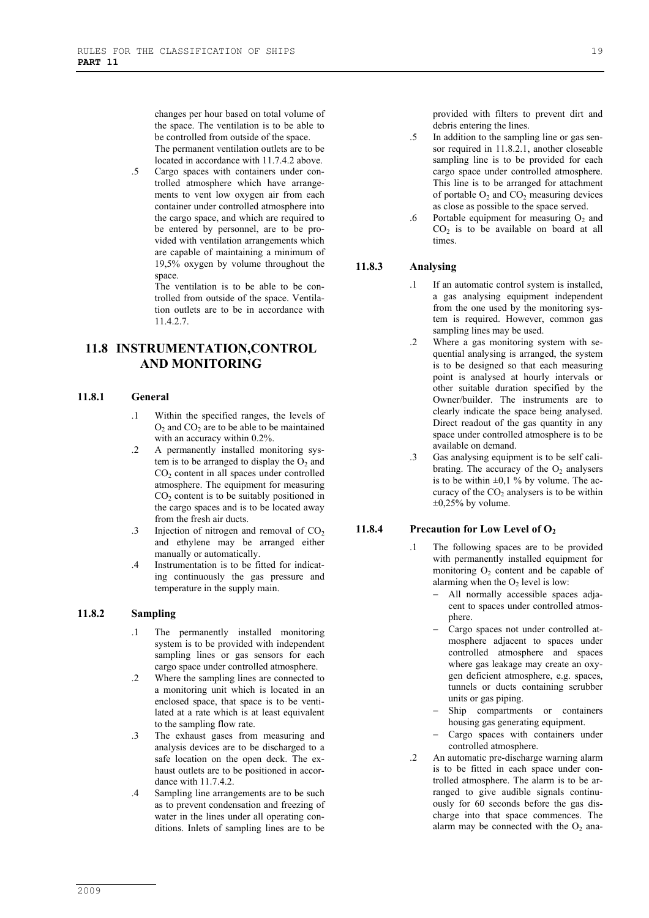changes per hour based on total volume of the space. The ventilation is to be able to be controlled from outside of the space. The permanent ventilation outlets are to be located in accordance with 11.7.4.2 above.

.5 Cargo spaces with containers under controlled atmosphere which have arrangements to vent low oxygen air from each container under controlled atmosphere into the cargo space, and which are required to be entered by personnel, are to be provided with ventilation arrangements which are capable of maintaining a minimum of 19,5% oxygen by volume throughout the space.

> The ventilation is to be able to be controlled from outside of the space. Ventilation outlets are to be in accordance with 11.4.2.7.

# **11.8 INSTRUMENTATION,CONTROL AND MONITORING**

#### **11.8.1 General**

- .1 Within the specified ranges, the levels of  $O_2$  and  $CO_2$  are to be able to be maintained with an accuracy within 0.2%.
- .2 A permanently installed monitoring system is to be arranged to display the  $O_2$  and  $CO<sub>2</sub>$  content in all spaces under controlled atmosphere. The equipment for measuring  $CO<sub>2</sub>$  content is to be suitably positioned in the cargo spaces and is to be located away from the fresh air ducts.
- .3 Injection of nitrogen and removal of  $CO<sub>2</sub>$ and ethylene may be arranged either manually or automatically.
- .4 Instrumentation is to be fitted for indicating continuously the gas pressure and temperature in the supply main.

#### **11.8.2 Sampling**

- .1 The permanently installed monitoring system is to be provided with independent sampling lines or gas sensors for each cargo space under controlled atmosphere.
- .2 Where the sampling lines are connected to a monitoring unit which is located in an enclosed space, that space is to be ventilated at a rate which is at least equivalent to the sampling flow rate.
- .3 The exhaust gases from measuring and analysis devices are to be discharged to a safe location on the open deck. The exhaust outlets are to be positioned in accordance with 11.7.4.2.
- .4 Sampling line arrangements are to be such as to prevent condensation and freezing of water in the lines under all operating conditions. Inlets of sampling lines are to be

provided with filters to prevent dirt and debris entering the lines.

- .5 In addition to the sampling line or gas sensor required in 11.8.2.1, another closeable sampling line is to be provided for each cargo space under controlled atmosphere. This line is to be arranged for attachment of portable  $O_2$  and  $CO_2$  measuring devices as close as possible to the space served.
- .6 Portable equipment for measuring  $O<sub>2</sub>$  and  $CO<sub>2</sub>$  is to be available on board at all times.

#### **11.8.3 Analysing**

- If an automatic control system is installed. a gas analysing equipment independent from the one used by the monitoring system is required. However, common gas sampling lines may be used.
- .2 Where a gas monitoring system with sequential analysing is arranged, the system is to be designed so that each measuring point is analysed at hourly intervals or other suitable duration specified by the Owner/builder. The instruments are to clearly indicate the space being analysed. Direct readout of the gas quantity in any space under controlled atmosphere is to be available on demand.
- .3 Gas analysing equipment is to be self calibrating. The accuracy of the  $O<sub>2</sub>$  analysers is to be within  $\pm 0.1$  % by volume. The accuracy of the  $CO<sub>2</sub>$  analysers is to be within  $\pm 0,25\%$  by volume.

#### **11.8.4** Precaution for Low Level of O<sub>2</sub>

- .1 The following spaces are to be provided with permanently installed equipment for monitoring  $O_2$  content and be capable of alarming when the  $O<sub>2</sub>$  level is low:
	- − All normally accessible spaces adjacent to spaces under controlled atmosphere.
	- − Cargo spaces not under controlled atmosphere adjacent to spaces under controlled atmosphere and spaces where gas leakage may create an oxygen deficient atmosphere, e.g. spaces, tunnels or ducts containing scrubber units or gas piping.
	- Ship compartments or containers housing gas generating equipment.
	- Cargo spaces with containers under controlled atmosphere.
- .2 An automatic pre-discharge warning alarm is to be fitted in each space under controlled atmosphere. The alarm is to be arranged to give audible signals continuously for 60 seconds before the gas discharge into that space commences. The alarm may be connected with the  $O_2$  ana-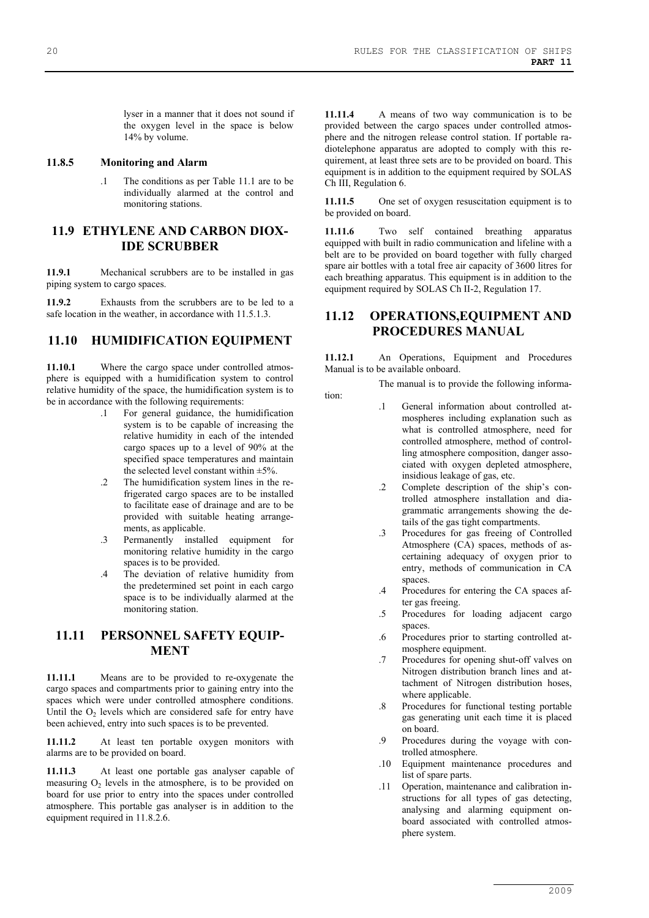lyser in a manner that it does not sound if the oxygen level in the space is below 14% by volume.

#### **11.8.5 Monitoring and Alarm**

.1 The conditions as per Table 11.1 are to be individually alarmed at the control and monitoring stations.

### **11.9 ETHYLENE AND CARBON DIOX-IDE SCRUBBER**

**11.9.1** Mechanical scrubbers are to be installed in gas piping system to cargo spaces.

**11.9.2** Exhausts from the scrubbers are to be led to a safe location in the weather, in accordance with  $11.5.1.3$ .

### **11.10 HUMIDIFICATION EQUIPMENT**

**11.10.1** Where the cargo space under controlled atmosphere is equipped with a humidification system to control relative humidity of the space, the humidification system is to be in accordance with the following requirements:

- .1 For general guidance, the humidification system is to be capable of increasing the relative humidity in each of the intended cargo spaces up to a level of 90% at the specified space temperatures and maintain the selected level constant within  $\pm$ 5%.
- .2 The humidification system lines in the refrigerated cargo spaces are to be installed to facilitate ease of drainage and are to be provided with suitable heating arrangements, as applicable.
- .3 Permanently installed equipment for monitoring relative humidity in the cargo spaces is to be provided.
- .4 The deviation of relative humidity from the predetermined set point in each cargo space is to be individually alarmed at the monitoring station.

# **11.11 PERSONNEL SAFETY EQUIP-MENT**

**11.11.1** Means are to be provided to re-oxygenate the cargo spaces and compartments prior to gaining entry into the spaces which were under controlled atmosphere conditions. Until the  $O_2$  levels which are considered safe for entry have been achieved, entry into such spaces is to be prevented.

**11.11.2** At least ten portable oxygen monitors with alarms are to be provided on board.

**11.11.3** At least one portable gas analyser capable of measuring  $O<sub>2</sub>$  levels in the atmosphere, is to be provided on board for use prior to entry into the spaces under controlled atmosphere. This portable gas analyser is in addition to the equipment required in 11.8.2.6.

**11.11.4** A means of two way communication is to be provided between the cargo spaces under controlled atmosphere and the nitrogen release control station. If portable radiotelephone apparatus are adopted to comply with this requirement, at least three sets are to be provided on board. This equipment is in addition to the equipment required by SOLAS Ch III, Regulation 6.

**11.11.5** One set of oxygen resuscitation equipment is to be provided on board.

**11.11.6** Two self contained breathing apparatus equipped with built in radio communication and lifeline with a belt are to be provided on board together with fully charged spare air bottles with a total free air capacity of 3600 litres for each breathing apparatus. This equipment is in addition to the equipment required by SOLAS Ch II-2, Regulation 17.

### **11.12 OPERATIONS,EQUIPMENT AND PROCEDURES MANUAL**

**11.12.1** An Operations, Equipment and Procedures Manual is to be available onboard.

The manual is to provide the following informa-

- tion:
- General information about controlled atmospheres including explanation such as what is controlled atmosphere, need for controlled atmosphere, method of controlling atmosphere composition, danger associated with oxygen depleted atmosphere, insidious leakage of gas, etc.
	- .2 Complete description of the ship's controlled atmosphere installation and diagrammatic arrangements showing the details of the gas tight compartments.
	- .3 Procedures for gas freeing of Controlled Atmosphere (CA) spaces, methods of ascertaining adequacy of oxygen prior to entry, methods of communication in CA spaces.
	- .4 Procedures for entering the CA spaces after gas freeing.
	- .5 Procedures for loading adjacent cargo spaces.
	- .6 Procedures prior to starting controlled atmosphere equipment.
	- .7 Procedures for opening shut-off valves on Nitrogen distribution branch lines and attachment of Nitrogen distribution hoses, where applicable.
	- .8 Procedures for functional testing portable gas generating unit each time it is placed on board.
	- .9 Procedures during the voyage with controlled atmosphere.
	- .10 Equipment maintenance procedures and list of spare parts.
	- .11 Operation, maintenance and calibration instructions for all types of gas detecting, analysing and alarming equipment onboard associated with controlled atmosphere system.